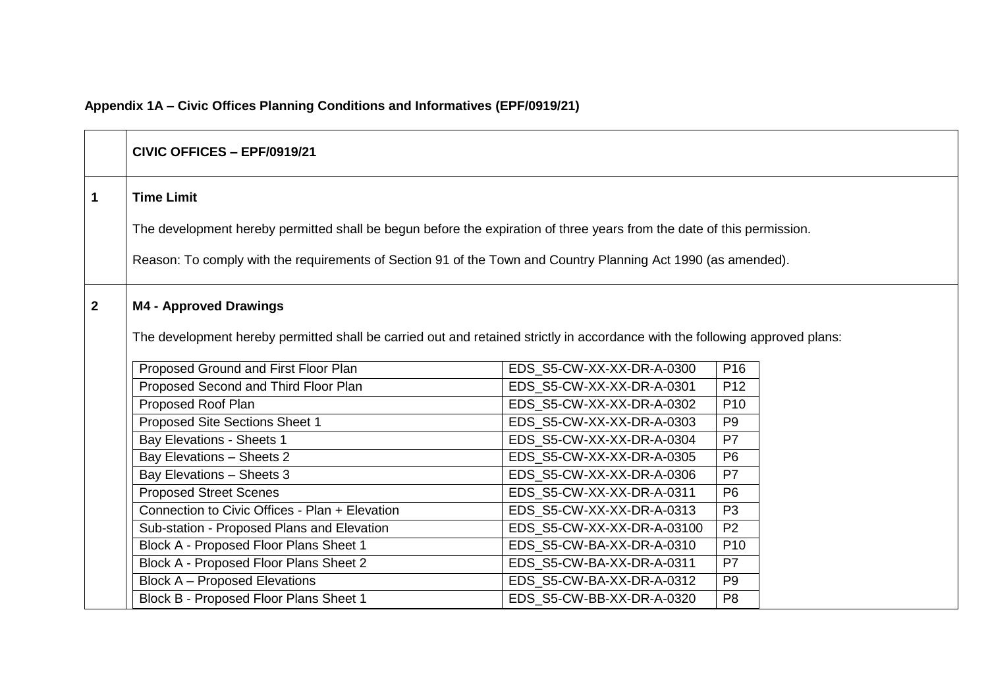# **Appendix 1A – Civic Offices Planning Conditions and Informatives (EPF/0919/21)**

|              | CIVIC OFFICES - EPF/0919/21                                                                                                                                   |                            |                 |  |
|--------------|---------------------------------------------------------------------------------------------------------------------------------------------------------------|----------------------------|-----------------|--|
| 1            | <b>Time Limit</b>                                                                                                                                             |                            |                 |  |
|              | The development hereby permitted shall be begun before the expiration of three years from the date of this permission.                                        |                            |                 |  |
|              |                                                                                                                                                               |                            |                 |  |
|              | Reason: To comply with the requirements of Section 91 of the Town and Country Planning Act 1990 (as amended).                                                 |                            |                 |  |
| $\mathbf{2}$ | <b>M4 - Approved Drawings</b><br>The development hereby permitted shall be carried out and retained strictly in accordance with the following approved plans: |                            |                 |  |
|              | Proposed Ground and First Floor Plan                                                                                                                          | EDS S5-CW-XX-XX-DR-A-0300  | P <sub>16</sub> |  |
|              | Proposed Second and Third Floor Plan                                                                                                                          | EDS S5-CW-XX-XX-DR-A-0301  | P <sub>12</sub> |  |
|              | Proposed Roof Plan                                                                                                                                            | EDS_S5-CW-XX-XX-DR-A-0302  | P <sub>10</sub> |  |
|              | Proposed Site Sections Sheet 1                                                                                                                                | EDS_S5-CW-XX-XX-DR-A-0303  | P <sub>9</sub>  |  |
|              | <b>Bay Elevations - Sheets 1</b>                                                                                                                              | EDS_S5-CW-XX-XX-DR-A-0304  | P7              |  |
|              | Bay Elevations - Sheets 2                                                                                                                                     | EDS_S5-CW-XX-XX-DR-A-0305  | P <sub>6</sub>  |  |
|              | Bay Elevations - Sheets 3                                                                                                                                     | EDS_S5-CW-XX-XX-DR-A-0306  | P <sub>7</sub>  |  |
|              | <b>Proposed Street Scenes</b>                                                                                                                                 | EDS S5-CW-XX-XX-DR-A-0311  | P <sub>6</sub>  |  |
|              | Connection to Civic Offices - Plan + Elevation                                                                                                                | EDS S5-CW-XX-XX-DR-A-0313  | P <sub>3</sub>  |  |
|              | Sub-station - Proposed Plans and Elevation                                                                                                                    | EDS_S5-CW-XX-XX-DR-A-03100 | P <sub>2</sub>  |  |
|              | Block A - Proposed Floor Plans Sheet 1                                                                                                                        | EDS_S5-CW-BA-XX-DR-A-0310  | P <sub>10</sub> |  |
|              | Block A - Proposed Floor Plans Sheet 2                                                                                                                        | EDS_S5-CW-BA-XX-DR-A-0311  | P7              |  |
|              | <b>Block A - Proposed Elevations</b>                                                                                                                          | EDS_S5-CW-BA-XX-DR-A-0312  | P <sub>9</sub>  |  |
|              | Block B - Proposed Floor Plans Sheet 1                                                                                                                        | EDS S5-CW-BB-XX-DR-A-0320  | P <sub>8</sub>  |  |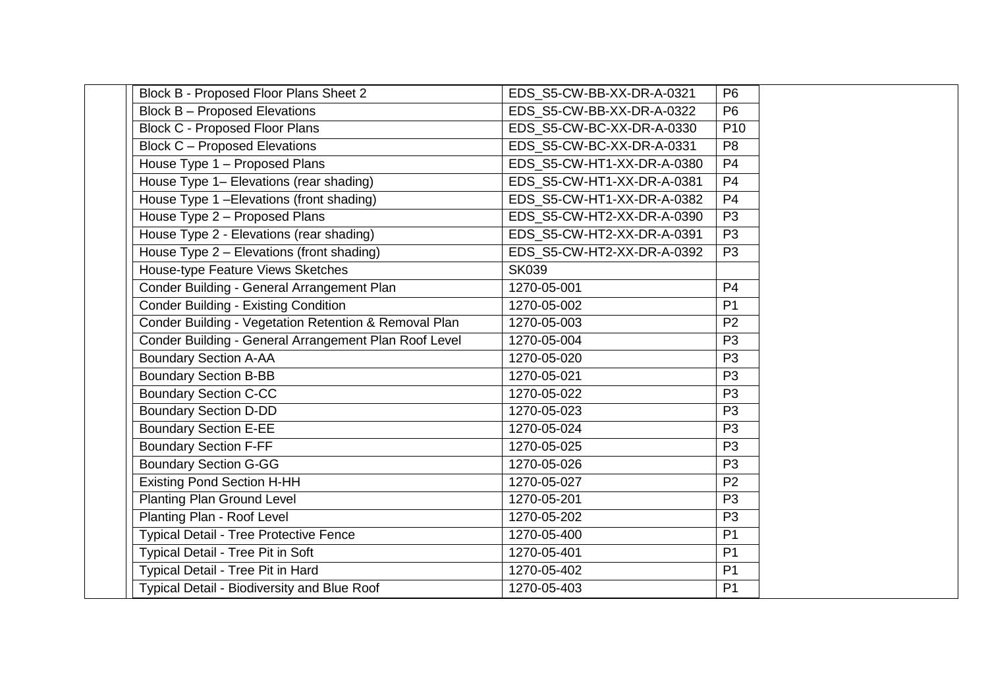| Block B - Proposed Floor Plans Sheet 2                | EDS S5-CW-BB-XX-DR-A-0321  | P <sub>6</sub>  |
|-------------------------------------------------------|----------------------------|-----------------|
| <b>Block B - Proposed Elevations</b>                  | EDS S5-CW-BB-XX-DR-A-0322  | P <sub>6</sub>  |
| <b>Block C - Proposed Floor Plans</b>                 | EDS S5-CW-BC-XX-DR-A-0330  | P <sub>10</sub> |
| <b>Block C - Proposed Elevations</b>                  | EDS S5-CW-BC-XX-DR-A-0331  | P <sub>8</sub>  |
| House Type 1 - Proposed Plans                         | EDS_S5-CW-HT1-XX-DR-A-0380 | P <sub>4</sub>  |
| House Type 1- Elevations (rear shading)               | EDS S5-CW-HT1-XX-DR-A-0381 | P <sub>4</sub>  |
| House Type 1 - Elevations (front shading)             | EDS S5-CW-HT1-XX-DR-A-0382 | P <sub>4</sub>  |
| House Type 2 - Proposed Plans                         | EDS S5-CW-HT2-XX-DR-A-0390 | P <sub>3</sub>  |
| House Type 2 - Elevations (rear shading)              | EDS S5-CW-HT2-XX-DR-A-0391 | P <sub>3</sub>  |
| House Type 2 - Elevations (front shading)             | EDS_S5-CW-HT2-XX-DR-A-0392 | P <sub>3</sub>  |
| House-type Feature Views Sketches                     | <b>SK039</b>               |                 |
| Conder Building - General Arrangement Plan            | 1270-05-001                | P <sub>4</sub>  |
| <b>Conder Building - Existing Condition</b>           | 1270-05-002                | P <sub>1</sub>  |
| Conder Building - Vegetation Retention & Removal Plan | 1270-05-003                | P <sub>2</sub>  |
| Conder Building - General Arrangement Plan Roof Level | 1270-05-004                | P <sub>3</sub>  |
| <b>Boundary Section A-AA</b>                          | 1270-05-020                | P <sub>3</sub>  |
| <b>Boundary Section B-BB</b>                          | 1270-05-021                | P <sub>3</sub>  |
| <b>Boundary Section C-CC</b>                          | 1270-05-022                | P <sub>3</sub>  |
| <b>Boundary Section D-DD</b>                          | 1270-05-023                | P <sub>3</sub>  |
| <b>Boundary Section E-EE</b>                          | 1270-05-024                | P <sub>3</sub>  |
| <b>Boundary Section F-FF</b>                          | 1270-05-025                | P <sub>3</sub>  |
| <b>Boundary Section G-GG</b>                          | 1270-05-026                | P <sub>3</sub>  |
| <b>Existing Pond Section H-HH</b>                     | 1270-05-027                | P <sub>2</sub>  |
| <b>Planting Plan Ground Level</b>                     | 1270-05-201                | P <sub>3</sub>  |
| Planting Plan - Roof Level                            | 1270-05-202                | P <sub>3</sub>  |
| <b>Typical Detail - Tree Protective Fence</b>         | 1270-05-400                | P <sub>1</sub>  |
| Typical Detail - Tree Pit in Soft                     | 1270-05-401                | P <sub>1</sub>  |
| Typical Detail - Tree Pit in Hard                     | 1270-05-402                | P <sub>1</sub>  |
| Typical Detail - Biodiversity and Blue Roof           | 1270-05-403                | P <sub>1</sub>  |
|                                                       |                            |                 |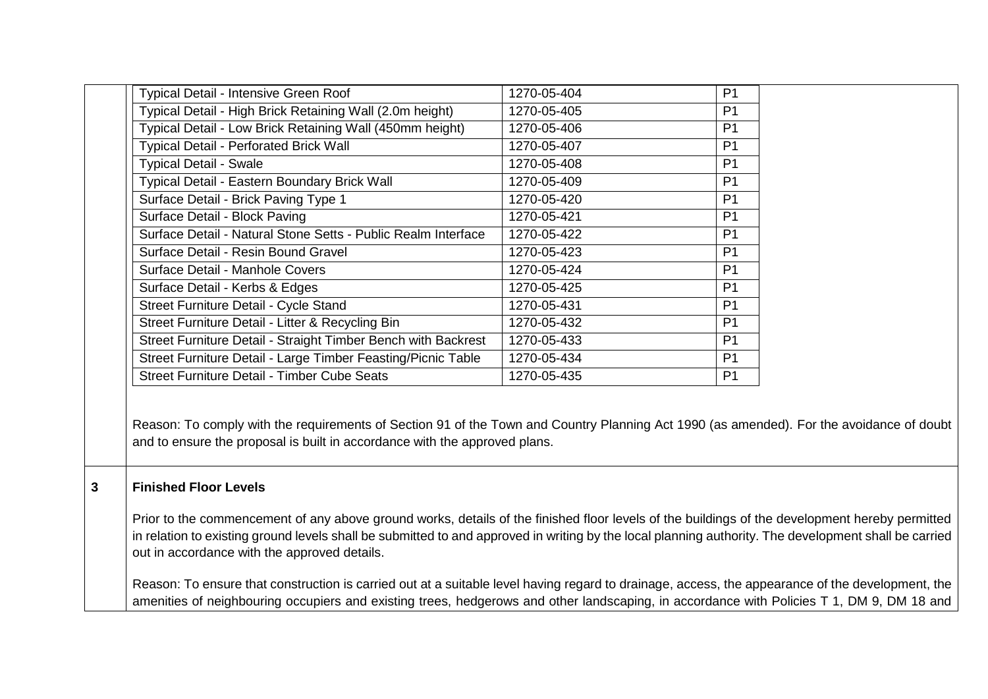| Typical Detail - Intensive Green Roof                         | 1270-05-404 | P <sub>1</sub> |
|---------------------------------------------------------------|-------------|----------------|
| Typical Detail - High Brick Retaining Wall (2.0m height)      | 1270-05-405 | P <sub>1</sub> |
| Typical Detail - Low Brick Retaining Wall (450mm height)      | 1270-05-406 | P <sub>1</sub> |
| <b>Typical Detail - Perforated Brick Wall</b>                 | 1270-05-407 | P <sub>1</sub> |
| <b>Typical Detail - Swale</b>                                 | 1270-05-408 | P <sub>1</sub> |
| Typical Detail - Eastern Boundary Brick Wall                  | 1270-05-409 | P <sub>1</sub> |
| Surface Detail - Brick Paving Type 1                          | 1270-05-420 | P <sub>1</sub> |
| Surface Detail - Block Paving                                 | 1270-05-421 | P <sub>1</sub> |
| Surface Detail - Natural Stone Setts - Public Realm Interface | 1270-05-422 | P <sub>1</sub> |
| Surface Detail - Resin Bound Gravel                           | 1270-05-423 | P <sub>1</sub> |
| Surface Detail - Manhole Covers                               | 1270-05-424 | P <sub>1</sub> |
| Surface Detail - Kerbs & Edges                                | 1270-05-425 | P <sub>1</sub> |
| Street Furniture Detail - Cycle Stand                         | 1270-05-431 | P <sub>1</sub> |
| Street Furniture Detail - Litter & Recycling Bin              | 1270-05-432 | P <sub>1</sub> |
| Street Furniture Detail - Straight Timber Bench with Backrest | 1270-05-433 | P1             |
| Street Furniture Detail - Large Timber Feasting/Picnic Table  | 1270-05-434 | P <sub>1</sub> |
| Street Furniture Detail - Timber Cube Seats                   | 1270-05-435 | P <sub>1</sub> |
|                                                               |             |                |

Reason: To comply with the requirements of Section 91 of the Town and Country Planning Act 1990 (as amended). For the avoidance of doubt and to ensure the proposal is built in accordance with the approved plans.

### **3 Finished Floor Levels**

Prior to the commencement of any above ground works, details of the finished floor levels of the buildings of the development hereby permitted in relation to existing ground levels shall be submitted to and approved in writing by the local planning authority. The development shall be carried out in accordance with the approved details.

Reason: To ensure that construction is carried out at a suitable level having regard to drainage, access, the appearance of the development, the amenities of neighbouring occupiers and existing trees, hedgerows and other landscaping, in accordance with Policies T 1, DM 9, DM 18 and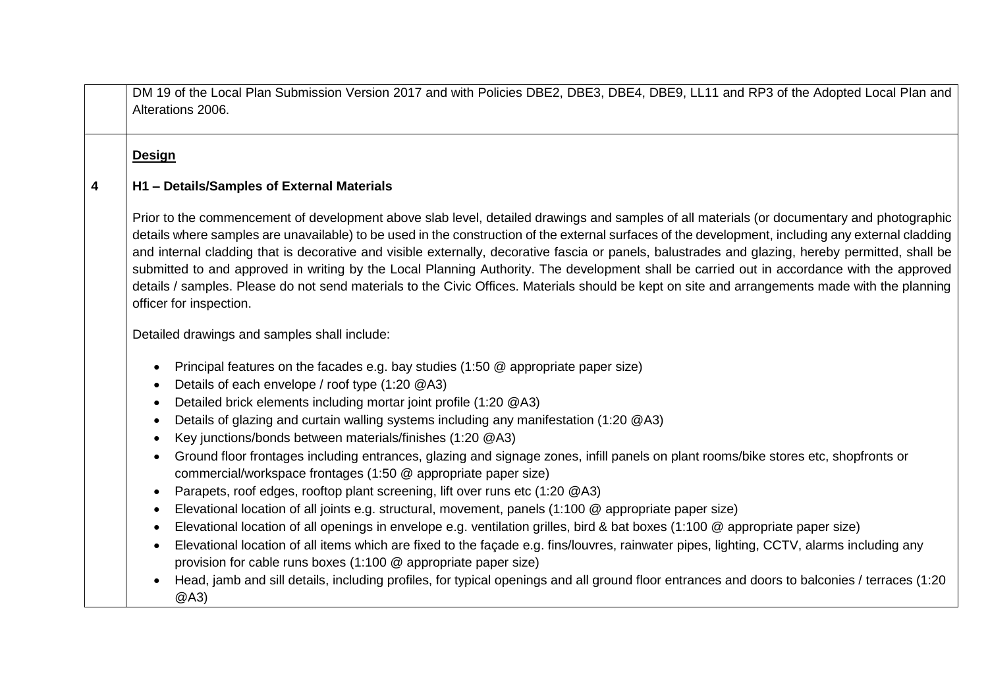DM 19 of the Local Plan Submission Version 2017 and with Policies DBE2, DBE3, DBE4, DBE9, LL11 and RP3 of the Adopted Local Plan and Alterations 2006.

### **Design**

#### **4 H1 – Details/Samples of External Materials**

Prior to the commencement of development above slab level, detailed drawings and samples of all materials (or documentary and photographic details where samples are unavailable) to be used in the construction of the external surfaces of the development, including any external cladding and internal cladding that is decorative and visible externally, decorative fascia or panels, balustrades and glazing, hereby permitted, shall be submitted to and approved in writing by the Local Planning Authority. The development shall be carried out in accordance with the approved details / samples. Please do not send materials to the Civic Offices. Materials should be kept on site and arrangements made with the planning officer for inspection.

Detailed drawings and samples shall include:

- Principal features on the facades e.g. bay studies (1:50 @ appropriate paper size)
- Details of each envelope / roof type (1:20 @A3)
- Detailed brick elements including mortar joint profile (1:20 @A3)
- Details of glazing and curtain walling systems including any manifestation (1:20 @A3)
- Key junctions/bonds between materials/finishes (1:20 @A3)
- Ground floor frontages including entrances, glazing and signage zones, infill panels on plant rooms/bike stores etc, shopfronts or commercial/workspace frontages (1:50 @ appropriate paper size)
- Parapets, roof edges, rooftop plant screening, lift over runs etc (1:20 @A3)
- Elevational location of all joints e.g. structural, movement, panels (1:100 @ appropriate paper size)
- Elevational location of all openings in envelope e.g. ventilation grilles, bird & bat boxes (1:100 @ appropriate paper size)
- Elevational location of all items which are fixed to the façade e.g. fins/louvres, rainwater pipes, lighting, CCTV, alarms including any provision for cable runs boxes (1:100 @ appropriate paper size)
- Head, jamb and sill details, including profiles, for typical openings and all ground floor entrances and doors to balconies / terraces (1:20 @A3)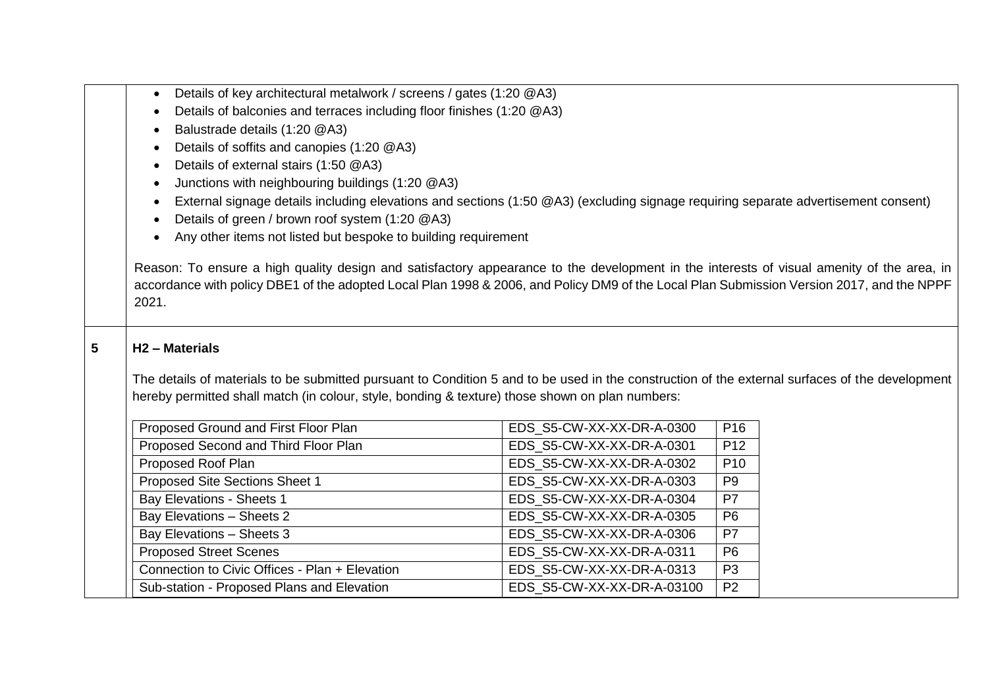|  | • Details of key architectural metalwork / screens / gates (1:20 @A3) |  |  |  |
|--|-----------------------------------------------------------------------|--|--|--|
|--|-----------------------------------------------------------------------|--|--|--|

- Details of balconies and terraces including floor finishes (1:20 @A3)
- Balustrade details (1:20 @A3)
- Details of soffits and canopies (1:20 @A3)
- Details of external stairs (1:50 @A3)
- Junctions with neighbouring buildings (1:20 @A3)
- External signage details including elevations and sections (1:50 @A3) (excluding signage requiring separate advertisement consent)
- Details of green / brown roof system (1:20 @A3)
- Any other items not listed but bespoke to building requirement

Reason: To ensure a high quality design and satisfactory appearance to the development in the interests of visual amenity of the area, in accordance with policy DBE1 of the adopted Local Plan 1998 & 2006, and Policy DM9 of the Local Plan Submission Version 2017, and the NPPF 2021.

### **5 H2 – Materials**

The details of materials to be submitted pursuant to Condition 5 and to be used in the construction of the external surfaces of the development hereby permitted shall match (in colour, style, bonding & texture) those shown on plan numbers:

| Proposed Ground and First Floor Plan           | EDS S5-CW-XX-XX-DR-A-0300  | P <sub>16</sub> |
|------------------------------------------------|----------------------------|-----------------|
| Proposed Second and Third Floor Plan           | EDS S5-CW-XX-XX-DR-A-0301  | P <sub>12</sub> |
| Proposed Roof Plan                             | EDS S5-CW-XX-XX-DR-A-0302  | P <sub>10</sub> |
| Proposed Site Sections Sheet 1                 | EDS S5-CW-XX-XX-DR-A-0303  | P <sub>9</sub>  |
| Bay Elevations - Sheets 1                      | EDS S5-CW-XX-XX-DR-A-0304  | P7              |
| Bay Elevations - Sheets 2                      | EDS S5-CW-XX-XX-DR-A-0305  | P <sub>6</sub>  |
| Bay Elevations - Sheets 3                      | EDS S5-CW-XX-XX-DR-A-0306  | P7              |
| <b>Proposed Street Scenes</b>                  | EDS S5-CW-XX-XX-DR-A-0311  | P <sub>6</sub>  |
| Connection to Civic Offices - Plan + Elevation | EDS S5-CW-XX-XX-DR-A-0313  | P <sub>3</sub>  |
| Sub-station - Proposed Plans and Elevation     | EDS_S5-CW-XX-XX-DR-A-03100 | P <sub>2</sub>  |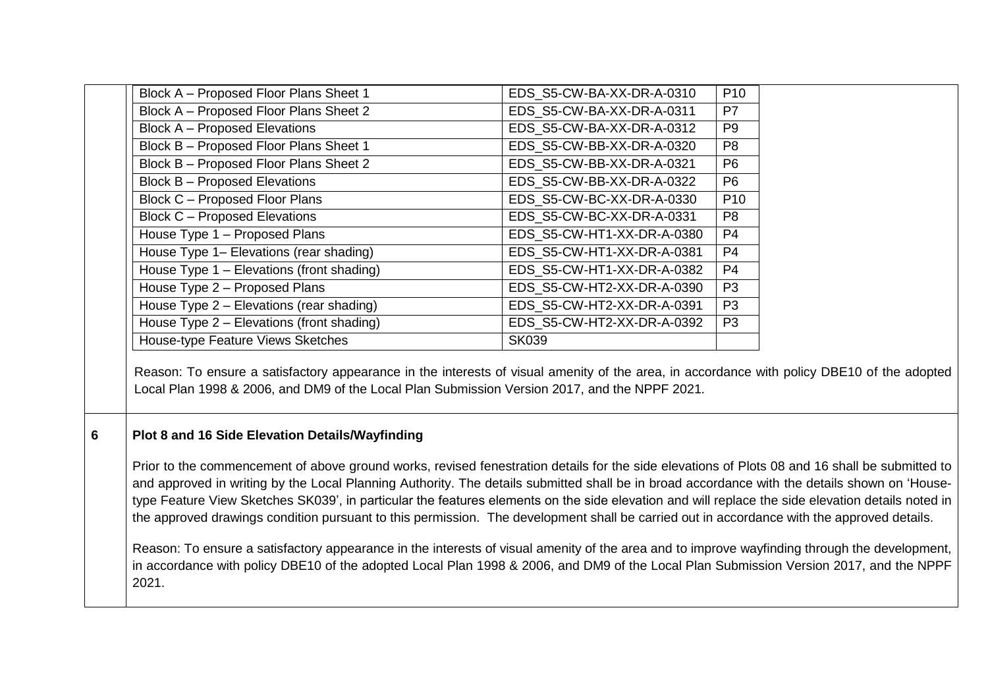| Block A - Proposed Floor Plans Sheet 1    | EDS S5-CW-BA-XX-DR-A-0310  | P <sub>10</sub> |
|-------------------------------------------|----------------------------|-----------------|
| Block A - Proposed Floor Plans Sheet 2    | EDS S5-CW-BA-XX-DR-A-0311  | P7              |
| <b>Block A - Proposed Elevations</b>      | EDS S5-CW-BA-XX-DR-A-0312  | P <sub>9</sub>  |
| Block B - Proposed Floor Plans Sheet 1    | EDS S5-CW-BB-XX-DR-A-0320  | P <sub>8</sub>  |
| Block B - Proposed Floor Plans Sheet 2    | EDS S5-CW-BB-XX-DR-A-0321  | P <sub>6</sub>  |
| <b>Block B - Proposed Elevations</b>      | EDS S5-CW-BB-XX-DR-A-0322  | P <sub>6</sub>  |
| Block C - Proposed Floor Plans            | EDS S5-CW-BC-XX-DR-A-0330  | P <sub>10</sub> |
| <b>Block C - Proposed Elevations</b>      | EDS_S5-CW-BC-XX-DR-A-0331  | P <sub>8</sub>  |
| House Type 1 - Proposed Plans             | EDS S5-CW-HT1-XX-DR-A-0380 | P <sub>4</sub>  |
| House Type 1– Elevations (rear shading)   | EDS S5-CW-HT1-XX-DR-A-0381 | P <sub>4</sub>  |
| House Type 1 - Elevations (front shading) | EDS S5-CW-HT1-XX-DR-A-0382 | P <sub>4</sub>  |
| House Type 2 - Proposed Plans             | EDS S5-CW-HT2-XX-DR-A-0390 | P <sub>3</sub>  |
| House Type 2 - Elevations (rear shading)  | EDS S5-CW-HT2-XX-DR-A-0391 | P <sub>3</sub>  |
| House Type 2 - Elevations (front shading) | EDS S5-CW-HT2-XX-DR-A-0392 | P <sub>3</sub>  |
| House-type Feature Views Sketches         | <b>SK039</b>               |                 |

Reason: To ensure a satisfactory appearance in the interests of visual amenity of the area, in accordance with policy DBE10 of the adopted Local Plan 1998 & 2006, and DM9 of the Local Plan Submission Version 2017, and the NPPF 2021.

### **6 Plot 8 and 16 Side Elevation Details/Wayfinding**

Prior to the commencement of above ground works, revised fenestration details for the side elevations of Plots 08 and 16 shall be submitted to and approved in writing by the Local Planning Authority. The details submitted shall be in broad accordance with the details shown on 'Housetype Feature View Sketches SK039', in particular the features elements on the side elevation and will replace the side elevation details noted in the approved drawings condition pursuant to this permission. The development shall be carried out in accordance with the approved details.

Reason: To ensure a satisfactory appearance in the interests of visual amenity of the area and to improve wayfinding through the development, in accordance with policy DBE10 of the adopted Local Plan 1998 & 2006, and DM9 of the Local Plan Submission Version 2017, and the NPPF 2021.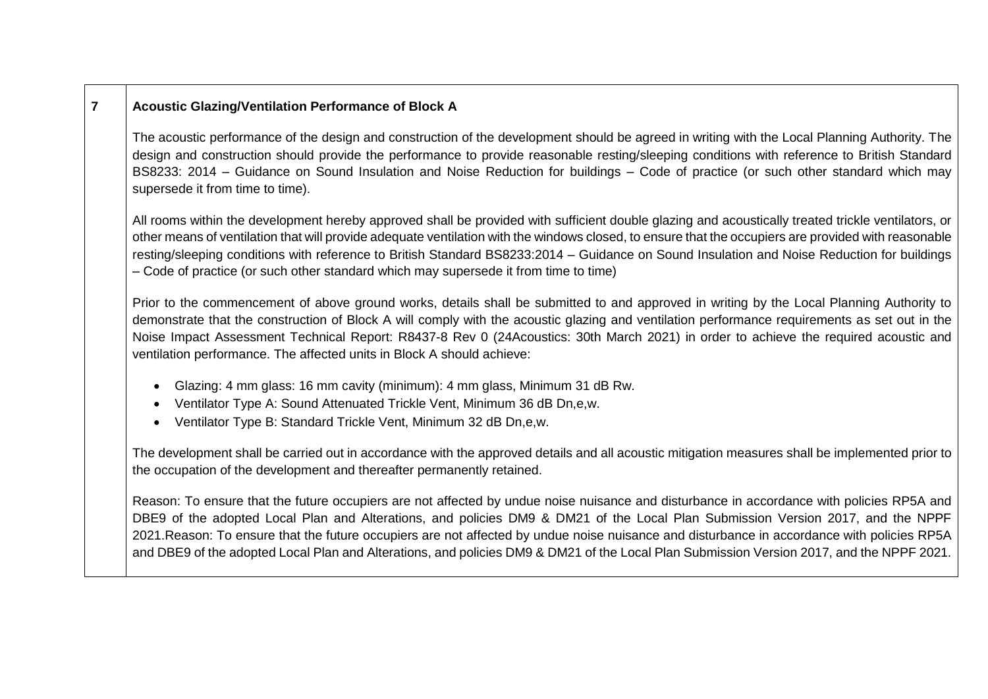## **7 Acoustic Glazing/Ventilation Performance of Block A**

The acoustic performance of the design and construction of the development should be agreed in writing with the Local Planning Authority. The design and construction should provide the performance to provide reasonable resting/sleeping conditions with reference to British Standard BS8233: 2014 – Guidance on Sound Insulation and Noise Reduction for buildings – Code of practice (or such other standard which may supersede it from time to time).

All rooms within the development hereby approved shall be provided with sufficient double glazing and acoustically treated trickle ventilators, or other means of ventilation that will provide adequate ventilation with the windows closed, to ensure that the occupiers are provided with reasonable resting/sleeping conditions with reference to British Standard BS8233:2014 – Guidance on Sound Insulation and Noise Reduction for buildings – Code of practice (or such other standard which may supersede it from time to time)

Prior to the commencement of above ground works, details shall be submitted to and approved in writing by the Local Planning Authority to demonstrate that the construction of Block A will comply with the acoustic glazing and ventilation performance requirements as set out in the Noise Impact Assessment Technical Report: R8437-8 Rev 0 (24Acoustics: 30th March 2021) in order to achieve the required acoustic and ventilation performance. The affected units in Block A should achieve:

- Glazing: 4 mm glass: 16 mm cavity (minimum): 4 mm glass, Minimum 31 dB Rw.
- Ventilator Type A: Sound Attenuated Trickle Vent, Minimum 36 dB Dn,e,w.
- Ventilator Type B: Standard Trickle Vent, Minimum 32 dB Dn,e,w.

The development shall be carried out in accordance with the approved details and all acoustic mitigation measures shall be implemented prior to the occupation of the development and thereafter permanently retained.

Reason: To ensure that the future occupiers are not affected by undue noise nuisance and disturbance in accordance with policies RP5A and DBE9 of the adopted Local Plan and Alterations, and policies DM9 & DM21 of the Local Plan Submission Version 2017, and the NPPF 2021.Reason: To ensure that the future occupiers are not affected by undue noise nuisance and disturbance in accordance with policies RP5A and DBE9 of the adopted Local Plan and Alterations, and policies DM9 & DM21 of the Local Plan Submission Version 2017, and the NPPF 2021.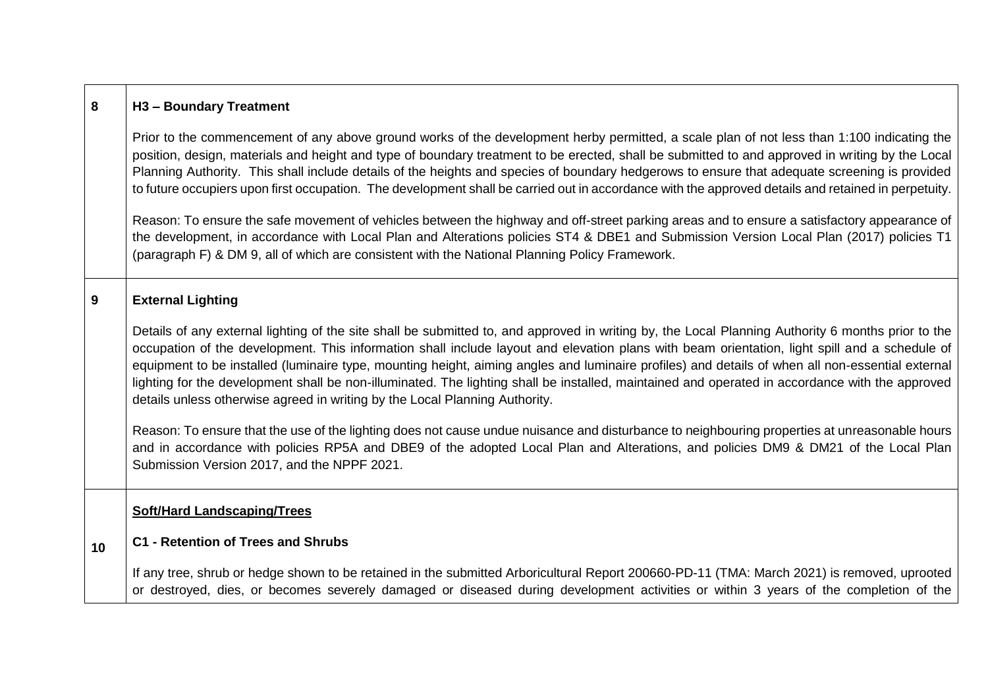| 8 | H3 - Boundary Treatment |
|---|-------------------------|
|---|-------------------------|

Prior to the commencement of any above ground works of the development herby permitted, a scale plan of not less than 1:100 indicating the position, design, materials and height and type of boundary treatment to be erected, shall be submitted to and approved in writing by the Local Planning Authority. This shall include details of the heights and species of boundary hedgerows to ensure that adequate screening is provided to future occupiers upon first occupation. The development shall be carried out in accordance with the approved details and retained in perpetuity.

Reason: To ensure the safe movement of vehicles between the highway and off-street parking areas and to ensure a satisfactory appearance of the development, in accordance with Local Plan and Alterations policies ST4 & DBE1 and Submission Version Local Plan (2017) policies T1 (paragraph F) & DM 9, all of which are consistent with the National Planning Policy Framework.

### **9 External Lighting**

Details of any external lighting of the site shall be submitted to, and approved in writing by, the Local Planning Authority 6 months prior to the occupation of the development. This information shall include layout and elevation plans with beam orientation, light spill and a schedule of equipment to be installed (luminaire type, mounting height, aiming angles and luminaire profiles) and details of when all non-essential external lighting for the development shall be non-illuminated. The lighting shall be installed, maintained and operated in accordance with the approved details unless otherwise agreed in writing by the Local Planning Authority.

Reason: To ensure that the use of the lighting does not cause undue nuisance and disturbance to neighbouring properties at unreasonable hours and in accordance with policies RP5A and DBE9 of the adopted Local Plan and Alterations, and policies DM9 & DM21 of the Local Plan Submission Version 2017, and the NPPF 2021.

### **Soft/Hard Landscaping/Trees**

#### **10 C1 - Retention of Trees and Shrubs**

If any tree, shrub or hedge shown to be retained in the submitted Arboricultural Report 200660-PD-11 (TMA: March 2021) is removed, uprooted or destroyed, dies, or becomes severely damaged or diseased during development activities or within 3 years of the completion of the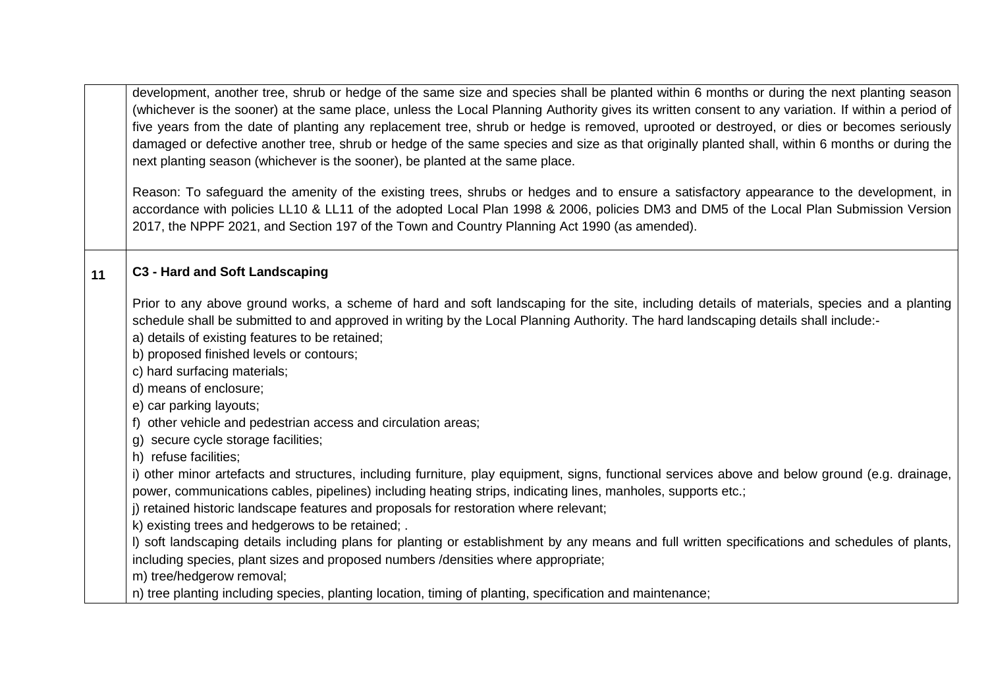development, another tree, shrub or hedge of the same size and species shall be planted within 6 months or during the next planting season (whichever is the sooner) at the same place, unless the Local Planning Authority gives its written consent to any variation. If within a period of five years from the date of planting any replacement tree, shrub or hedge is removed, uprooted or destroyed, or dies or becomes seriously damaged or defective another tree, shrub or hedge of the same species and size as that originally planted shall, within 6 months or during the next planting season (whichever is the sooner), be planted at the same place.

Reason: To safeguard the amenity of the existing trees, shrubs or hedges and to ensure a satisfactory appearance to the development, in accordance with policies LL10 & LL11 of the adopted Local Plan 1998 & 2006, policies DM3 and DM5 of the Local Plan Submission Version 2017, the NPPF 2021, and Section 197 of the Town and Country Planning Act 1990 (as amended).

# **11 C3 - Hard and Soft Landscaping**

Prior to any above ground works, a scheme of hard and soft landscaping for the site, including details of materials, species and a planting schedule shall be submitted to and approved in writing by the Local Planning Authority. The hard landscaping details shall include:-

a) details of existing features to be retained;

b) proposed finished levels or contours;

c) hard surfacing materials;

d) means of enclosure;

e) car parking layouts;

f) other vehicle and pedestrian access and circulation areas;

g) secure cycle storage facilities;

h) refuse facilities;

i) other minor artefacts and structures, including furniture, play equipment, signs, functional services above and below ground (e.g. drainage, power, communications cables, pipelines) including heating strips, indicating lines, manholes, supports etc.;

j) retained historic landscape features and proposals for restoration where relevant;

k) existing trees and hedgerows to be retained; .

l) soft landscaping details including plans for planting or establishment by any means and full written specifications and schedules of plants, including species, plant sizes and proposed numbers /densities where appropriate;

m) tree/hedgerow removal;

n) tree planting including species, planting location, timing of planting, specification and maintenance;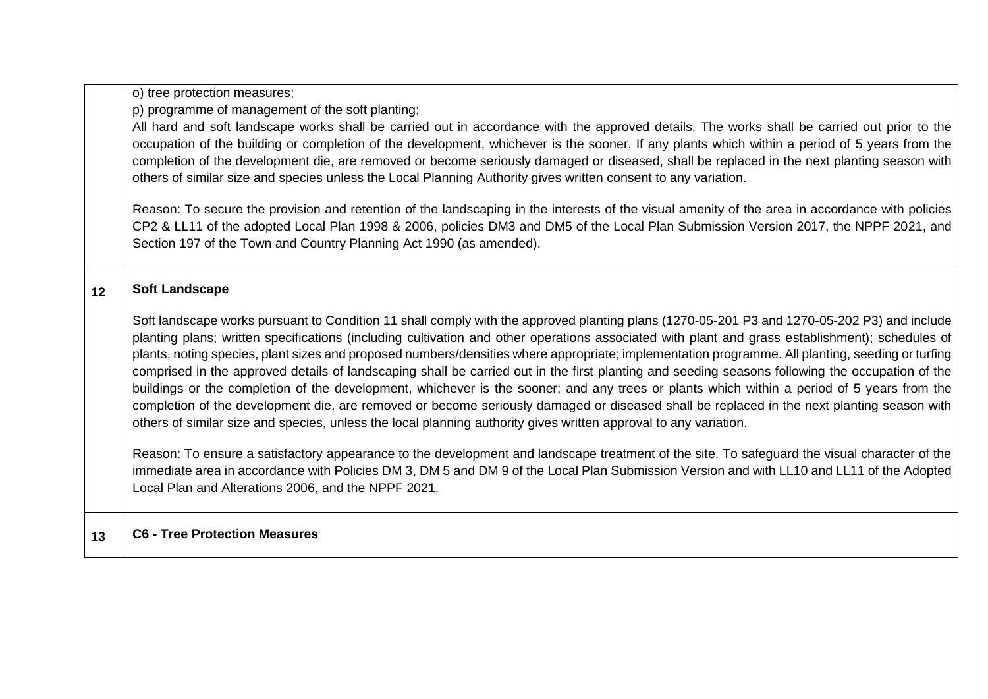o) tree protection measures;

p) programme of management of the soft planting;

All hard and soft landscape works shall be carried out in accordance with the approved details. The works shall be carried out prior to the occupation of the building or completion of the development, whichever is the sooner. If any plants which within a period of 5 years from the completion of the development die, are removed or become seriously damaged or diseased, shall be replaced in the next planting season with others of similar size and species unless the Local Planning Authority gives written consent to any variation.

Reason: To secure the provision and retention of the landscaping in the interests of the visual amenity of the area in accordance with policies CP2 & LL11 of the adopted Local Plan 1998 & 2006, policies DM3 and DM5 of the Local Plan Submission Version 2017, the NPPF 2021, and Section 197 of the Town and Country Planning Act 1990 (as amended).

### **12 Soft Landscape**

Soft landscape works pursuant to Condition 11 shall comply with the approved planting plans (1270-05-201 P3 and 1270-05-202 P3) and include planting plans; written specifications (including cultivation and other operations associated with plant and grass establishment); schedules of plants, noting species, plant sizes and proposed numbers/densities where appropriate; implementation programme. All planting, seeding or turfing comprised in the approved details of landscaping shall be carried out in the first planting and seeding seasons following the occupation of the buildings or the completion of the development, whichever is the sooner; and any trees or plants which within a period of 5 years from the completion of the development die, are removed or become seriously damaged or diseased shall be replaced in the next planting season with others of similar size and species, unless the local planning authority gives written approval to any variation.

Reason: To ensure a satisfactory appearance to the development and landscape treatment of the site. To safeguard the visual character of the immediate area in accordance with Policies DM 3, DM 5 and DM 9 of the Local Plan Submission Version and with LL10 and LL11 of the Adopted Local Plan and Alterations 2006, and the NPPF 2021.

### **13 C6 - Tree Protection Measures**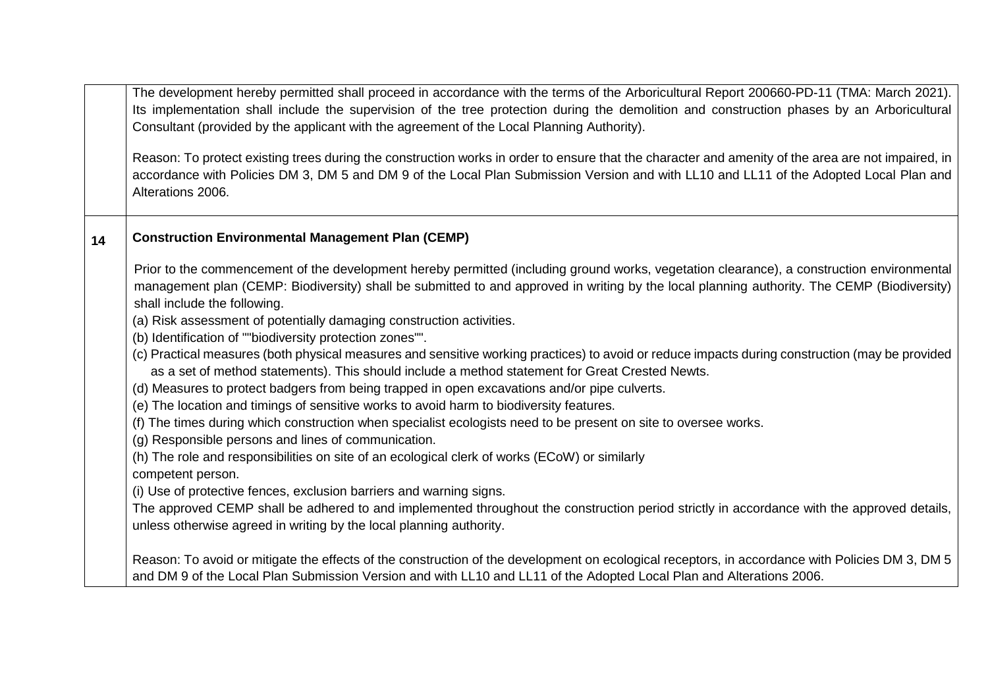|    | The development hereby permitted shall proceed in accordance with the terms of the Arboricultural Report 200660-PD-11 (TMA: March 2021).<br>Its implementation shall include the supervision of the tree protection during the demolition and construction phases by an Arboricultural<br>Consultant (provided by the applicant with the agreement of the Local Planning Authority).<br>Reason: To protect existing trees during the construction works in order to ensure that the character and amenity of the area are not impaired, in<br>accordance with Policies DM 3, DM 5 and DM 9 of the Local Plan Submission Version and with LL10 and LL11 of the Adopted Local Plan and<br>Alterations 2006.                                                                                                                                                                                                                                                                                                                                                                                                                                                                                                                                                                                                                                                                                                                                                                                                  |
|----|------------------------------------------------------------------------------------------------------------------------------------------------------------------------------------------------------------------------------------------------------------------------------------------------------------------------------------------------------------------------------------------------------------------------------------------------------------------------------------------------------------------------------------------------------------------------------------------------------------------------------------------------------------------------------------------------------------------------------------------------------------------------------------------------------------------------------------------------------------------------------------------------------------------------------------------------------------------------------------------------------------------------------------------------------------------------------------------------------------------------------------------------------------------------------------------------------------------------------------------------------------------------------------------------------------------------------------------------------------------------------------------------------------------------------------------------------------------------------------------------------------|
| 14 | <b>Construction Environmental Management Plan (CEMP)</b>                                                                                                                                                                                                                                                                                                                                                                                                                                                                                                                                                                                                                                                                                                                                                                                                                                                                                                                                                                                                                                                                                                                                                                                                                                                                                                                                                                                                                                                   |
|    | Prior to the commencement of the development hereby permitted (including ground works, vegetation clearance), a construction environmental<br>management plan (CEMP: Biodiversity) shall be submitted to and approved in writing by the local planning authority. The CEMP (Biodiversity)<br>shall include the following.<br>(a) Risk assessment of potentially damaging construction activities.<br>(b) Identification of ""biodiversity protection zones"".<br>(c) Practical measures (both physical measures and sensitive working practices) to avoid or reduce impacts during construction (may be provided<br>as a set of method statements). This should include a method statement for Great Crested Newts.<br>(d) Measures to protect badgers from being trapped in open excavations and/or pipe culverts.<br>(e) The location and timings of sensitive works to avoid harm to biodiversity features.<br>(f) The times during which construction when specialist ecologists need to be present on site to oversee works.<br>(g) Responsible persons and lines of communication.<br>(h) The role and responsibilities on site of an ecological clerk of works (ECoW) or similarly<br>competent person.<br>(i) Use of protective fences, exclusion barriers and warning signs.<br>The approved CEMP shall be adhered to and implemented throughout the construction period strictly in accordance with the approved details,<br>unless otherwise agreed in writing by the local planning authority. |
|    | Reason: To avoid or mitigate the effects of the construction of the development on ecological receptors, in accordance with Policies DM 3, DM 5<br>and DM 9 of the Local Plan Submission Version and with LL10 and LL11 of the Adopted Local Plan and Alterations 2006.                                                                                                                                                                                                                                                                                                                                                                                                                                                                                                                                                                                                                                                                                                                                                                                                                                                                                                                                                                                                                                                                                                                                                                                                                                    |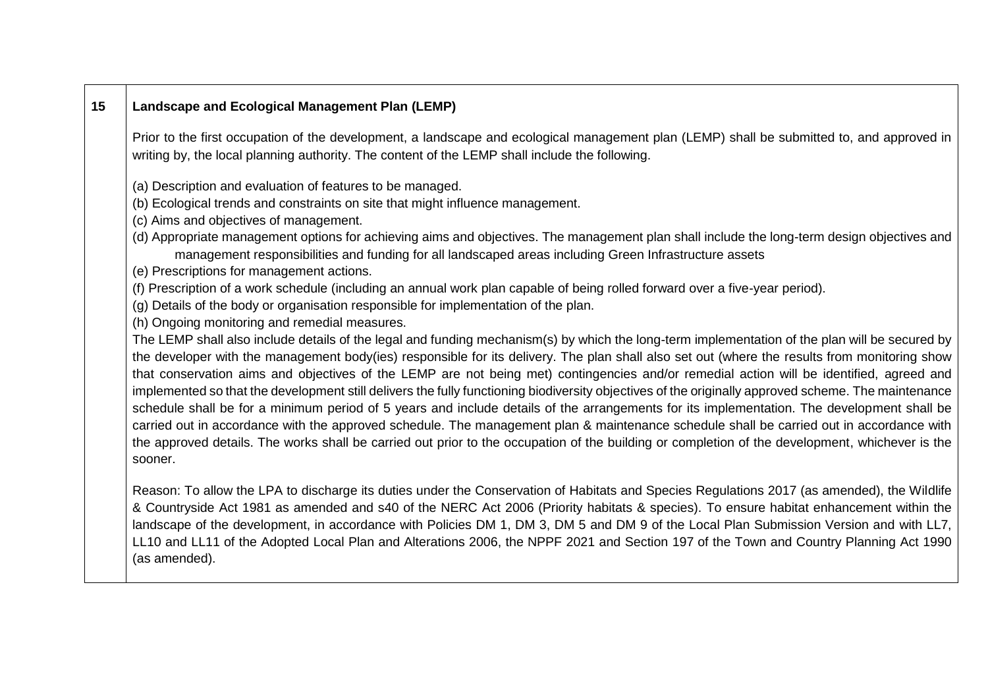# **15 Landscape and Ecological Management Plan (LEMP)**

Prior to the first occupation of the development, a landscape and ecological management plan (LEMP) shall be submitted to, and approved in writing by, the local planning authority. The content of the LEMP shall include the following.

(a) Description and evaluation of features to be managed.

(b) Ecological trends and constraints on site that might influence management.

(c) Aims and objectives of management.

(d) Appropriate management options for achieving aims and objectives. The management plan shall include the long-term design objectives and management responsibilities and funding for all landscaped areas including Green Infrastructure assets

(e) Prescriptions for management actions.

(f) Prescription of a work schedule (including an annual work plan capable of being rolled forward over a five-year period).

(g) Details of the body or organisation responsible for implementation of the plan.

(h) Ongoing monitoring and remedial measures.

The LEMP shall also include details of the legal and funding mechanism(s) by which the long-term implementation of the plan will be secured by the developer with the management body(ies) responsible for its delivery. The plan shall also set out (where the results from monitoring show that conservation aims and objectives of the LEMP are not being met) contingencies and/or remedial action will be identified, agreed and implemented so that the development still delivers the fully functioning biodiversity objectives of the originally approved scheme. The maintenance schedule shall be for a minimum period of 5 years and include details of the arrangements for its implementation. The development shall be carried out in accordance with the approved schedule. The management plan & maintenance schedule shall be carried out in accordance with the approved details. The works shall be carried out prior to the occupation of the building or completion of the development, whichever is the sooner.

Reason: To allow the LPA to discharge its duties under the Conservation of Habitats and Species Regulations 2017 (as amended), the Wildlife & Countryside Act 1981 as amended and s40 of the NERC Act 2006 (Priority habitats & species). To ensure habitat enhancement within the landscape of the development, in accordance with Policies DM 1, DM 3, DM 5 and DM 9 of the Local Plan Submission Version and with LL7, LL10 and LL11 of the Adopted Local Plan and Alterations 2006, the NPPF 2021 and Section 197 of the Town and Country Planning Act 1990 (as amended).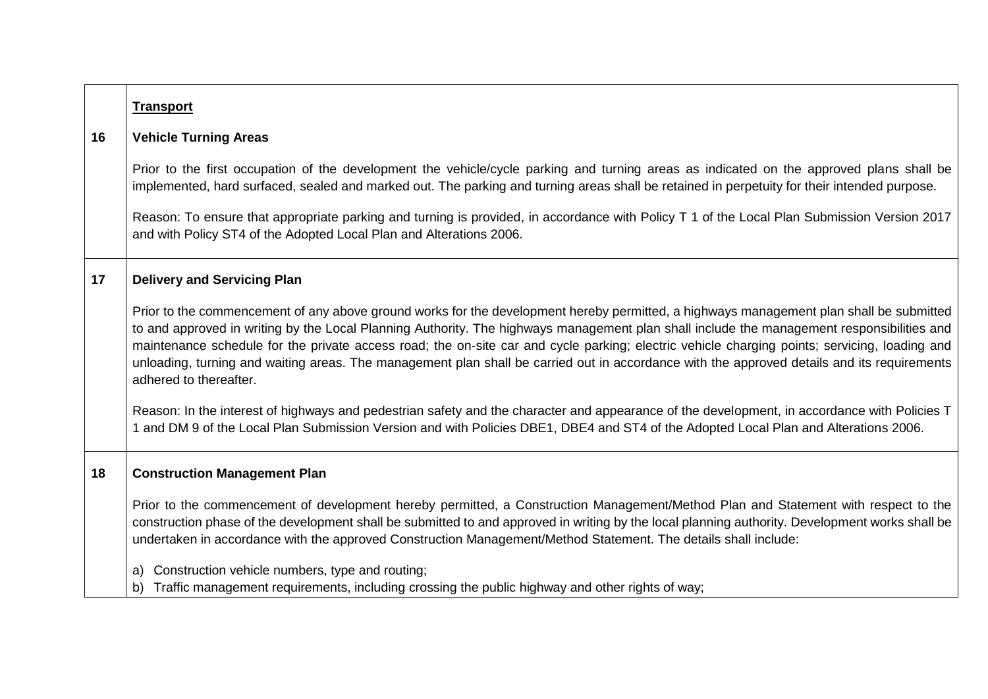|    | <b>Transport</b>                                                                                                                                                                                                                                                                                                                                                                                                                                                                                                                                                                                                |
|----|-----------------------------------------------------------------------------------------------------------------------------------------------------------------------------------------------------------------------------------------------------------------------------------------------------------------------------------------------------------------------------------------------------------------------------------------------------------------------------------------------------------------------------------------------------------------------------------------------------------------|
| 16 | <b>Vehicle Turning Areas</b>                                                                                                                                                                                                                                                                                                                                                                                                                                                                                                                                                                                    |
|    | Prior to the first occupation of the development the vehicle/cycle parking and turning areas as indicated on the approved plans shall be<br>implemented, hard surfaced, sealed and marked out. The parking and turning areas shall be retained in perpetuity for their intended purpose.                                                                                                                                                                                                                                                                                                                        |
|    | Reason: To ensure that appropriate parking and turning is provided, in accordance with Policy T 1 of the Local Plan Submission Version 2017<br>and with Policy ST4 of the Adopted Local Plan and Alterations 2006.                                                                                                                                                                                                                                                                                                                                                                                              |
| 17 | <b>Delivery and Servicing Plan</b>                                                                                                                                                                                                                                                                                                                                                                                                                                                                                                                                                                              |
|    | Prior to the commencement of any above ground works for the development hereby permitted, a highways management plan shall be submitted<br>to and approved in writing by the Local Planning Authority. The highways management plan shall include the management responsibilities and<br>maintenance schedule for the private access road; the on-site car and cycle parking; electric vehicle charging points; servicing, loading and<br>unloading, turning and waiting areas. The management plan shall be carried out in accordance with the approved details and its requirements<br>adhered to thereafter. |
|    | Reason: In the interest of highways and pedestrian safety and the character and appearance of the development, in accordance with Policies T<br>1 and DM 9 of the Local Plan Submission Version and with Policies DBE1, DBE4 and ST4 of the Adopted Local Plan and Alterations 2006.                                                                                                                                                                                                                                                                                                                            |
| 18 | <b>Construction Management Plan</b>                                                                                                                                                                                                                                                                                                                                                                                                                                                                                                                                                                             |
|    | Prior to the commencement of development hereby permitted, a Construction Management/Method Plan and Statement with respect to the<br>construction phase of the development shall be submitted to and approved in writing by the local planning authority. Development works shall be<br>undertaken in accordance with the approved Construction Management/Method Statement. The details shall include:                                                                                                                                                                                                        |
|    | Construction vehicle numbers, type and routing;<br>a)<br>Traffic management requirements, including crossing the public highway and other rights of way;<br>b)                                                                                                                                                                                                                                                                                                                                                                                                                                                  |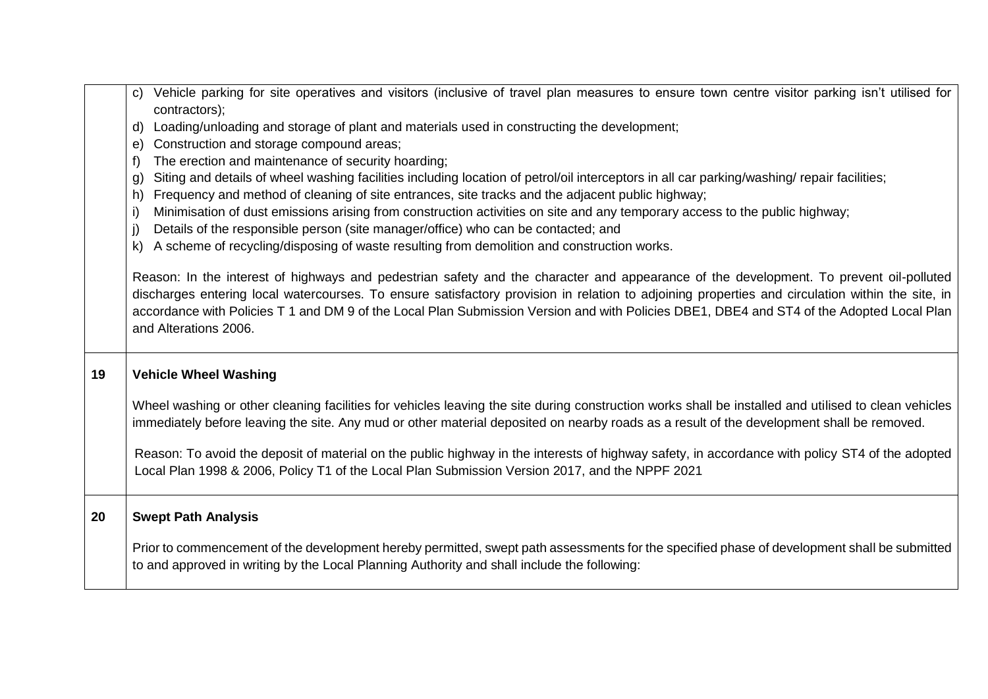|    | c) Vehicle parking for site operatives and visitors (inclusive of travel plan measures to ensure town centre visitor parking isn't utilised for<br>contractors);                                                                                                                                                                                                                                                                                                 |
|----|------------------------------------------------------------------------------------------------------------------------------------------------------------------------------------------------------------------------------------------------------------------------------------------------------------------------------------------------------------------------------------------------------------------------------------------------------------------|
|    | d) Loading/unloading and storage of plant and materials used in constructing the development;                                                                                                                                                                                                                                                                                                                                                                    |
|    | Construction and storage compound areas;<br>e)                                                                                                                                                                                                                                                                                                                                                                                                                   |
|    | The erection and maintenance of security hoarding;<br>f)                                                                                                                                                                                                                                                                                                                                                                                                         |
|    | Siting and details of wheel washing facilities including location of petrol/oil interceptors in all car parking/washing/ repair facilities;<br>g)                                                                                                                                                                                                                                                                                                                |
|    | Frequency and method of cleaning of site entrances, site tracks and the adjacent public highway;<br>h)                                                                                                                                                                                                                                                                                                                                                           |
|    | Minimisation of dust emissions arising from construction activities on site and any temporary access to the public highway;<br>-i)                                                                                                                                                                                                                                                                                                                               |
|    | Details of the responsible person (site manager/office) who can be contacted; and<br>j)                                                                                                                                                                                                                                                                                                                                                                          |
|    | A scheme of recycling/disposing of waste resulting from demolition and construction works.<br>k)                                                                                                                                                                                                                                                                                                                                                                 |
|    | Reason: In the interest of highways and pedestrian safety and the character and appearance of the development. To prevent oil-polluted<br>discharges entering local watercourses. To ensure satisfactory provision in relation to adjoining properties and circulation within the site, in<br>accordance with Policies T 1 and DM 9 of the Local Plan Submission Version and with Policies DBE1, DBE4 and ST4 of the Adopted Local Plan<br>and Alterations 2006. |
| 19 | <b>Vehicle Wheel Washing</b>                                                                                                                                                                                                                                                                                                                                                                                                                                     |
|    | Wheel washing or other cleaning facilities for vehicles leaving the site during construction works shall be installed and utilised to clean vehicles<br>immediately before leaving the site. Any mud or other material deposited on nearby roads as a result of the development shall be removed.                                                                                                                                                                |
|    | Reason: To avoid the deposit of material on the public highway in the interests of highway safety, in accordance with policy ST4 of the adopted<br>Local Plan 1998 & 2006, Policy T1 of the Local Plan Submission Version 2017, and the NPPF 2021                                                                                                                                                                                                                |
| 20 | <b>Swept Path Analysis</b>                                                                                                                                                                                                                                                                                                                                                                                                                                       |
|    | Prior to commencement of the development hereby permitted, swept path assessments for the specified phase of development shall be submitted<br>to and approved in writing by the Local Planning Authority and shall include the following:                                                                                                                                                                                                                       |
|    |                                                                                                                                                                                                                                                                                                                                                                                                                                                                  |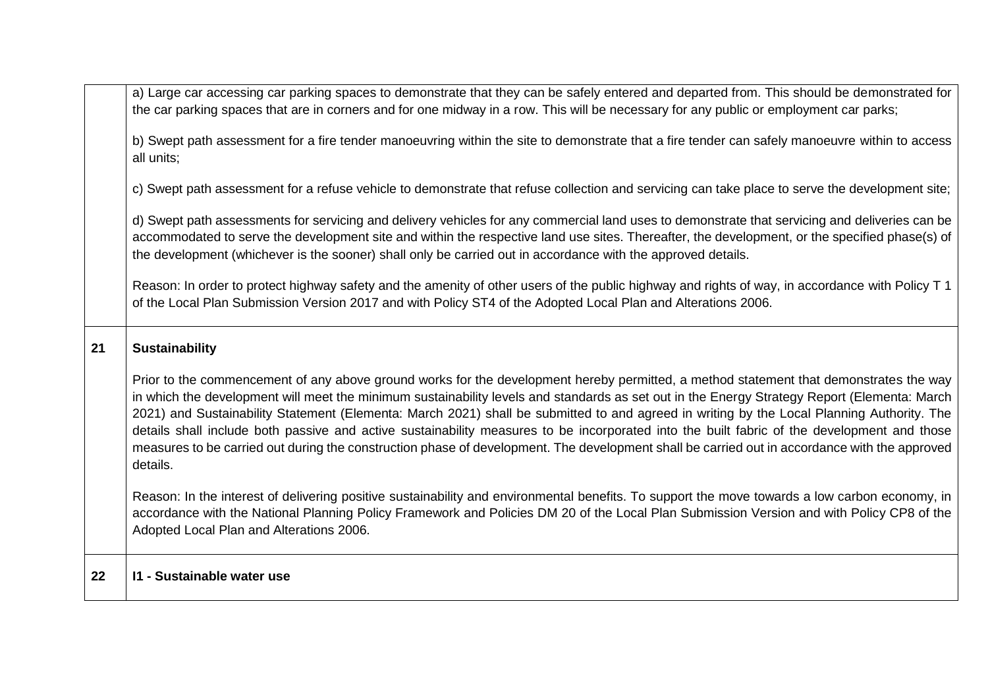| 22 | 11 - Sustainable water use                                                                                                                                                                                                                                                                                                                                                                                                                                                                                                                                                                                                                                                                                                                       |
|----|--------------------------------------------------------------------------------------------------------------------------------------------------------------------------------------------------------------------------------------------------------------------------------------------------------------------------------------------------------------------------------------------------------------------------------------------------------------------------------------------------------------------------------------------------------------------------------------------------------------------------------------------------------------------------------------------------------------------------------------------------|
|    | Reason: In the interest of delivering positive sustainability and environmental benefits. To support the move towards a low carbon economy, in<br>accordance with the National Planning Policy Framework and Policies DM 20 of the Local Plan Submission Version and with Policy CP8 of the<br>Adopted Local Plan and Alterations 2006.                                                                                                                                                                                                                                                                                                                                                                                                          |
|    | Prior to the commencement of any above ground works for the development hereby permitted, a method statement that demonstrates the way<br>in which the development will meet the minimum sustainability levels and standards as set out in the Energy Strategy Report (Elementa: March<br>2021) and Sustainability Statement (Elementa: March 2021) shall be submitted to and agreed in writing by the Local Planning Authority. The<br>details shall include both passive and active sustainability measures to be incorporated into the built fabric of the development and those<br>measures to be carried out during the construction phase of development. The development shall be carried out in accordance with the approved<br>details. |
| 21 | <b>Sustainability</b>                                                                                                                                                                                                                                                                                                                                                                                                                                                                                                                                                                                                                                                                                                                            |
|    | Reason: In order to protect highway safety and the amenity of other users of the public highway and rights of way, in accordance with Policy T 1<br>of the Local Plan Submission Version 2017 and with Policy ST4 of the Adopted Local Plan and Alterations 2006.                                                                                                                                                                                                                                                                                                                                                                                                                                                                                |
|    | d) Swept path assessments for servicing and delivery vehicles for any commercial land uses to demonstrate that servicing and deliveries can be<br>accommodated to serve the development site and within the respective land use sites. Thereafter, the development, or the specified phase(s) of<br>the development (whichever is the sooner) shall only be carried out in accordance with the approved details.                                                                                                                                                                                                                                                                                                                                 |
|    | c) Swept path assessment for a refuse vehicle to demonstrate that refuse collection and servicing can take place to serve the development site;                                                                                                                                                                                                                                                                                                                                                                                                                                                                                                                                                                                                  |
|    | b) Swept path assessment for a fire tender manoeuvring within the site to demonstrate that a fire tender can safely manoeuvre within to access<br>all units:                                                                                                                                                                                                                                                                                                                                                                                                                                                                                                                                                                                     |
|    | a) Large car accessing car parking spaces to demonstrate that they can be safely entered and departed from. This should be demonstrated for<br>the car parking spaces that are in corners and for one midway in a row. This will be necessary for any public or employment car parks;                                                                                                                                                                                                                                                                                                                                                                                                                                                            |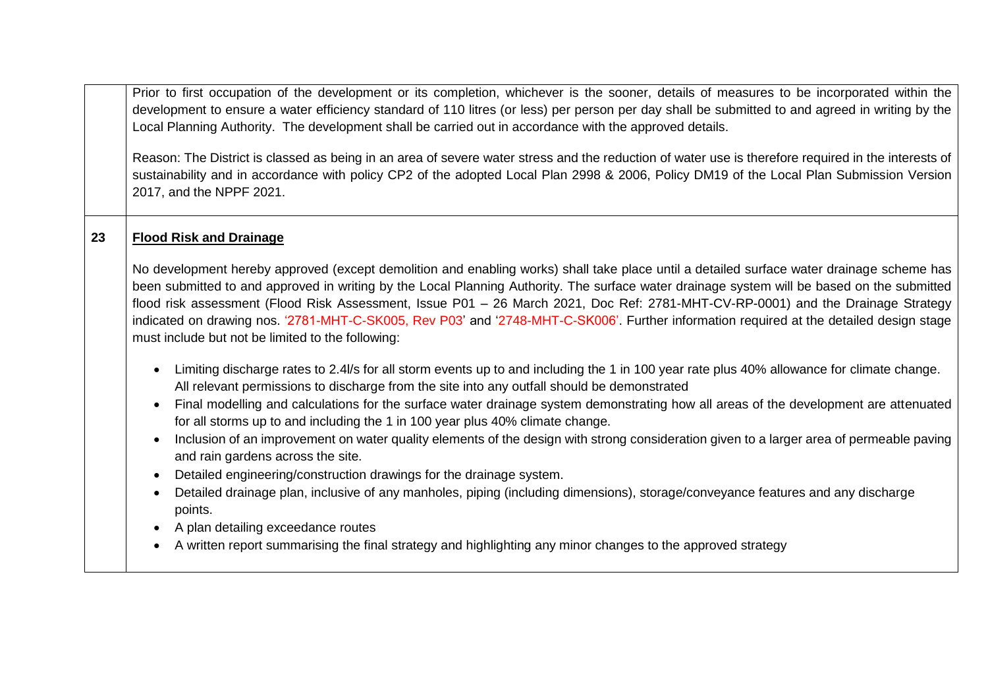Prior to first occupation of the development or its completion, whichever is the sooner, details of measures to be incorporated within the development to ensure a water efficiency standard of 110 litres (or less) per person per day shall be submitted to and agreed in writing by the Local Planning Authority. The development shall be carried out in accordance with the approved details.

Reason: The District is classed as being in an area of severe water stress and the reduction of water use is therefore required in the interests of sustainability and in accordance with policy CP2 of the adopted Local Plan 2998 & 2006, Policy DM19 of the Local Plan Submission Version 2017, and the NPPF 2021.

### **23 Flood Risk and Drainage**

No development hereby approved (except demolition and enabling works) shall take place until a detailed surface water drainage scheme has been submitted to and approved in writing by the Local Planning Authority. The surface water drainage system will be based on the submitted flood risk assessment (Flood Risk Assessment, Issue P01 – 26 March 2021, Doc Ref: 2781-MHT-CV-RP-0001) and the Drainage Strategy indicated on drawing nos. '2781-MHT-C-SK005, Rev P03' and '2748-MHT-C-SK006'. Further information required at the detailed design stage must include but not be limited to the following:

- Limiting discharge rates to 2.4/s for all storm events up to and including the 1 in 100 year rate plus 40% allowance for climate change. All relevant permissions to discharge from the site into any outfall should be demonstrated
- Final modelling and calculations for the surface water drainage system demonstrating how all areas of the development are attenuated for all storms up to and including the 1 in 100 year plus 40% climate change.
- Inclusion of an improvement on water quality elements of the design with strong consideration given to a larger area of permeable paving and rain gardens across the site.
- Detailed engineering/construction drawings for the drainage system.
- Detailed drainage plan, inclusive of any manholes, piping (including dimensions), storage/conveyance features and any discharge points.
- A plan detailing exceedance routes
- A written report summarising the final strategy and highlighting any minor changes to the approved strategy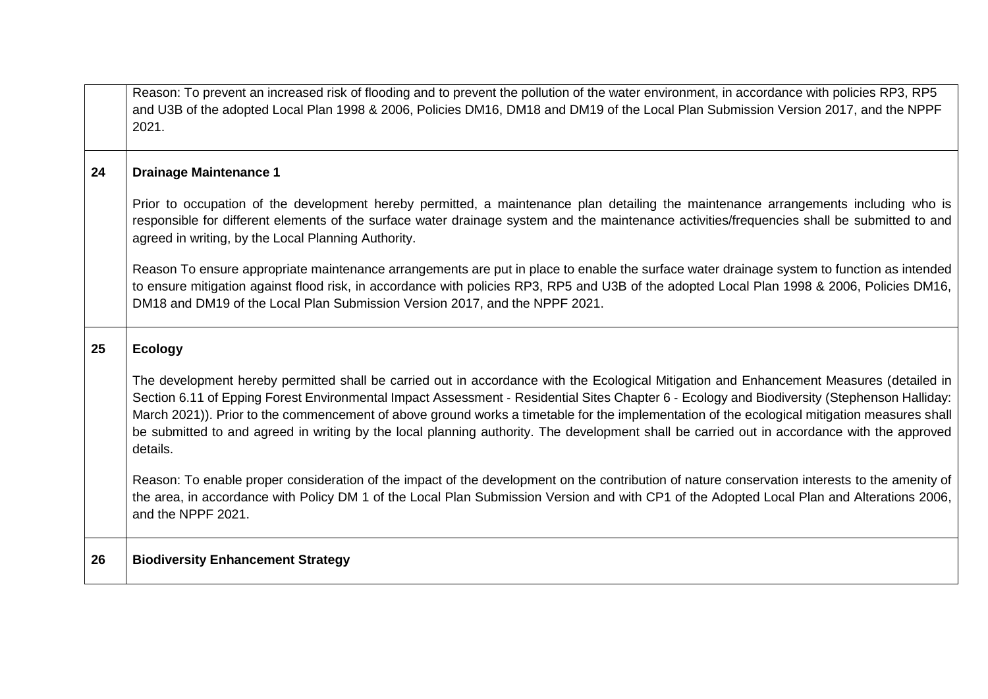|    | Reason: To prevent an increased risk of flooding and to prevent the pollution of the water environment, in accordance with policies RP3, RP5<br>and U3B of the adopted Local Plan 1998 & 2006, Policies DM16, DM18 and DM19 of the Local Plan Submission Version 2017, and the NPPF<br>2021.                                                                                                                                                                                                                                                                                                        |
|----|-----------------------------------------------------------------------------------------------------------------------------------------------------------------------------------------------------------------------------------------------------------------------------------------------------------------------------------------------------------------------------------------------------------------------------------------------------------------------------------------------------------------------------------------------------------------------------------------------------|
| 24 | <b>Drainage Maintenance 1</b>                                                                                                                                                                                                                                                                                                                                                                                                                                                                                                                                                                       |
|    | Prior to occupation of the development hereby permitted, a maintenance plan detailing the maintenance arrangements including who is<br>responsible for different elements of the surface water drainage system and the maintenance activities/frequencies shall be submitted to and<br>agreed in writing, by the Local Planning Authority.                                                                                                                                                                                                                                                          |
|    | Reason To ensure appropriate maintenance arrangements are put in place to enable the surface water drainage system to function as intended<br>to ensure mitigation against flood risk, in accordance with policies RP3, RP5 and U3B of the adopted Local Plan 1998 & 2006, Policies DM16,<br>DM18 and DM19 of the Local Plan Submission Version 2017, and the NPPF 2021.                                                                                                                                                                                                                            |
| 25 | <b>Ecology</b>                                                                                                                                                                                                                                                                                                                                                                                                                                                                                                                                                                                      |
|    | The development hereby permitted shall be carried out in accordance with the Ecological Mitigation and Enhancement Measures (detailed in<br>Section 6.11 of Epping Forest Environmental Impact Assessment - Residential Sites Chapter 6 - Ecology and Biodiversity (Stephenson Halliday:<br>March 2021)). Prior to the commencement of above ground works a timetable for the implementation of the ecological mitigation measures shall<br>be submitted to and agreed in writing by the local planning authority. The development shall be carried out in accordance with the approved<br>details. |
|    | Reason: To enable proper consideration of the impact of the development on the contribution of nature conservation interests to the amenity of<br>the area, in accordance with Policy DM 1 of the Local Plan Submission Version and with CP1 of the Adopted Local Plan and Alterations 2006,<br>and the NPPF 2021.                                                                                                                                                                                                                                                                                  |
| 26 | <b>Biodiversity Enhancement Strategy</b>                                                                                                                                                                                                                                                                                                                                                                                                                                                                                                                                                            |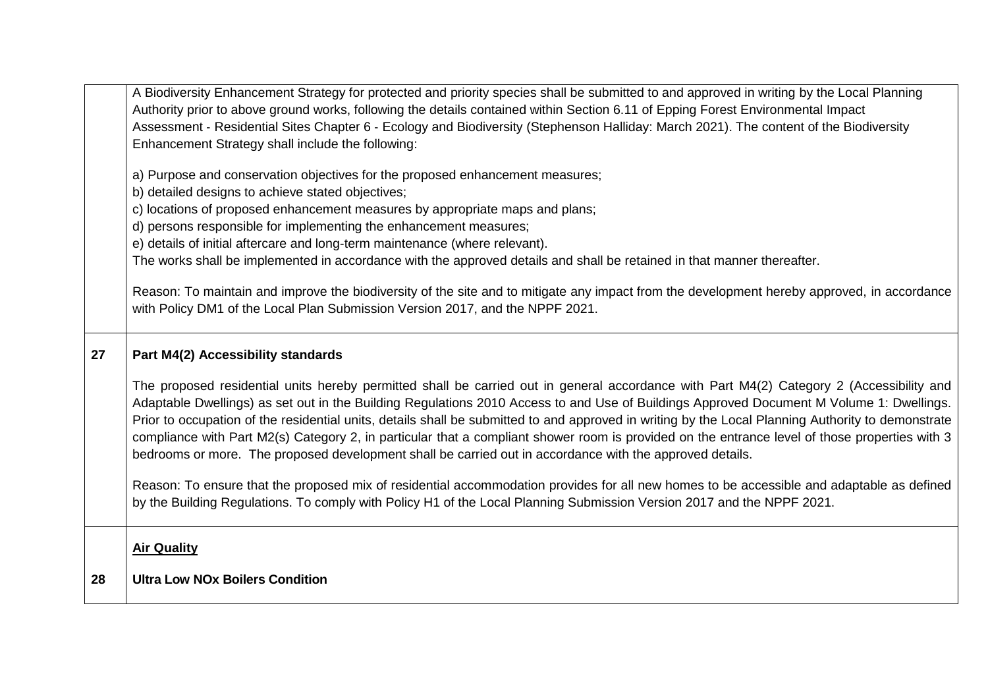|    | A Biodiversity Enhancement Strategy for protected and priority species shall be submitted to and approved in writing by the Local Planning<br>Authority prior to above ground works, following the details contained within Section 6.11 of Epping Forest Environmental Impact<br>Assessment - Residential Sites Chapter 6 - Ecology and Biodiversity (Stephenson Halliday: March 2021). The content of the Biodiversity<br>Enhancement Strategy shall include the following:                                                                                                                                                                                                                            |
|----|----------------------------------------------------------------------------------------------------------------------------------------------------------------------------------------------------------------------------------------------------------------------------------------------------------------------------------------------------------------------------------------------------------------------------------------------------------------------------------------------------------------------------------------------------------------------------------------------------------------------------------------------------------------------------------------------------------|
|    | a) Purpose and conservation objectives for the proposed enhancement measures;<br>b) detailed designs to achieve stated objectives;<br>c) locations of proposed enhancement measures by appropriate maps and plans;<br>d) persons responsible for implementing the enhancement measures;<br>e) details of initial aftercare and long-term maintenance (where relevant).<br>The works shall be implemented in accordance with the approved details and shall be retained in that manner thereafter.                                                                                                                                                                                                        |
|    | Reason: To maintain and improve the biodiversity of the site and to mitigate any impact from the development hereby approved, in accordance<br>with Policy DM1 of the Local Plan Submission Version 2017, and the NPPF 2021.                                                                                                                                                                                                                                                                                                                                                                                                                                                                             |
| 27 | Part M4(2) Accessibility standards                                                                                                                                                                                                                                                                                                                                                                                                                                                                                                                                                                                                                                                                       |
|    | The proposed residential units hereby permitted shall be carried out in general accordance with Part M4(2) Category 2 (Accessibility and<br>Adaptable Dwellings) as set out in the Building Regulations 2010 Access to and Use of Buildings Approved Document M Volume 1: Dwellings.<br>Prior to occupation of the residential units, details shall be submitted to and approved in writing by the Local Planning Authority to demonstrate<br>compliance with Part M2(s) Category 2, in particular that a compliant shower room is provided on the entrance level of those properties with 3<br>bedrooms or more. The proposed development shall be carried out in accordance with the approved details. |
|    | Reason: To ensure that the proposed mix of residential accommodation provides for all new homes to be accessible and adaptable as defined<br>by the Building Regulations. To comply with Policy H1 of the Local Planning Submission Version 2017 and the NPPF 2021.                                                                                                                                                                                                                                                                                                                                                                                                                                      |
|    | <b>Air Quality</b>                                                                                                                                                                                                                                                                                                                                                                                                                                                                                                                                                                                                                                                                                       |
| 28 | <b>Ultra Low NOx Boilers Condition</b>                                                                                                                                                                                                                                                                                                                                                                                                                                                                                                                                                                                                                                                                   |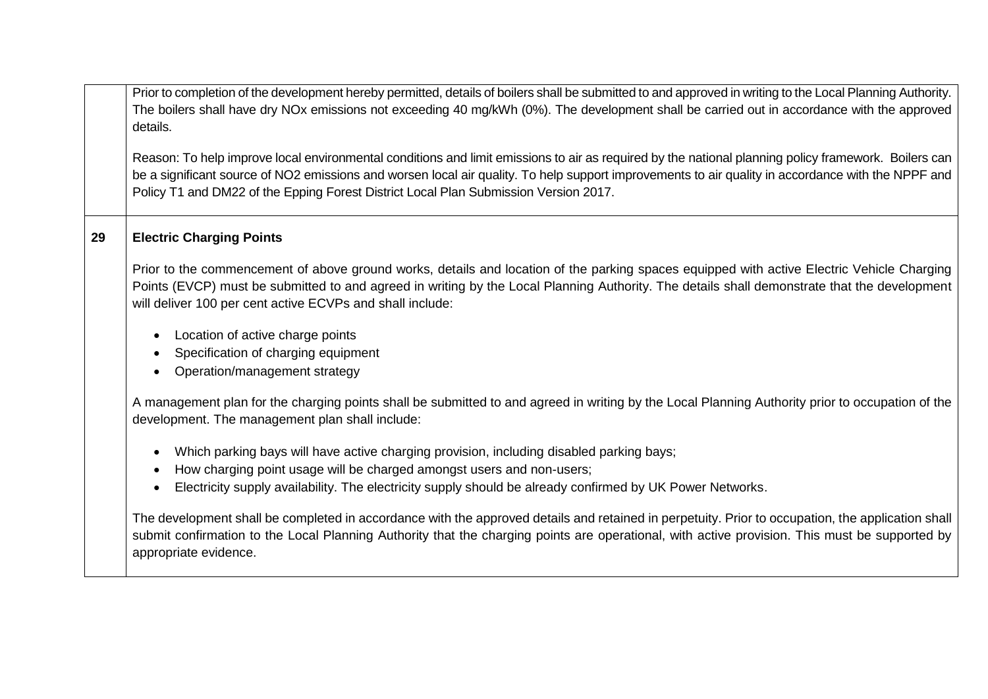Prior to completion of the development hereby permitted, details of boilers shall be submitted to and approved in writing to the Local Planning Authority. The boilers shall have dry NOx emissions not exceeding 40 mg/kWh (0%). The development shall be carried out in accordance with the approved details.

Reason: To help improve local environmental conditions and limit emissions to air as required by the national planning policy framework. Boilers can be a significant source of NO2 emissions and worsen local air quality. To help support improvements to air quality in accordance with the NPPF and Policy T1 and DM22 of the Epping Forest District Local Plan Submission Version 2017.

### **29 Electric Charging Points**

Prior to the commencement of above ground works, details and location of the parking spaces equipped with active Electric Vehicle Charging Points (EVCP) must be submitted to and agreed in writing by the Local Planning Authority. The details shall demonstrate that the development will deliver 100 per cent active ECVPs and shall include:

- Location of active charge points
- Specification of charging equipment
- Operation/management strategy

A management plan for the charging points shall be submitted to and agreed in writing by the Local Planning Authority prior to occupation of the development. The management plan shall include:

- Which parking bays will have active charging provision, including disabled parking bays;
- How charging point usage will be charged amongst users and non-users;
- Electricity supply availability. The electricity supply should be already confirmed by UK Power Networks.

The development shall be completed in accordance with the approved details and retained in perpetuity. Prior to occupation, the application shall submit confirmation to the Local Planning Authority that the charging points are operational, with active provision. This must be supported by appropriate evidence.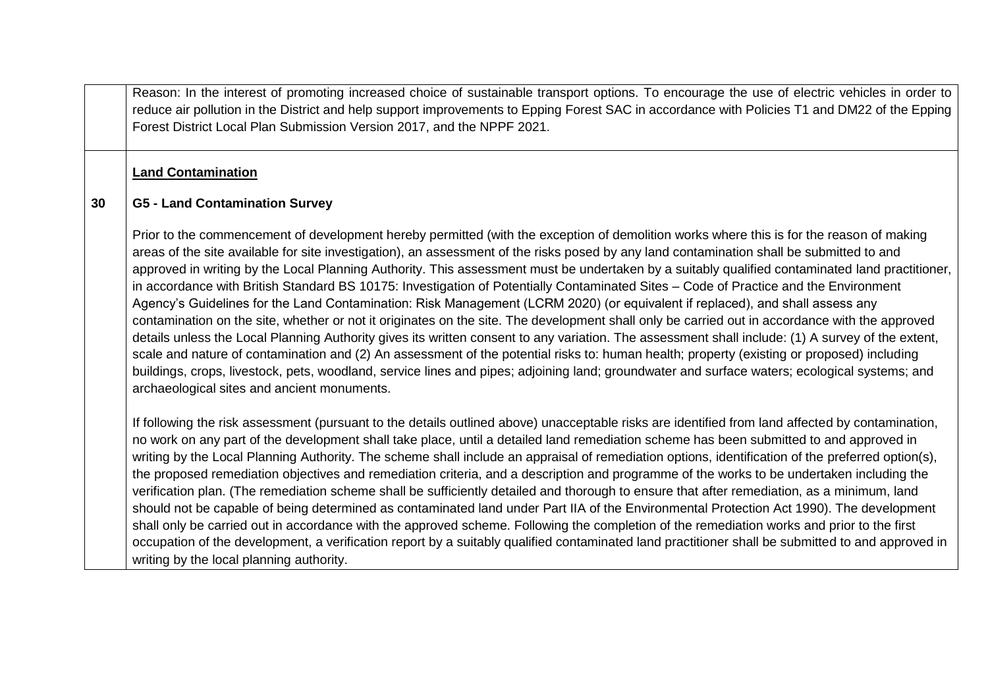Reason: In the interest of promoting increased choice of sustainable transport options. To encourage the use of electric vehicles in order to reduce air pollution in the District and help support improvements to Epping Forest SAC in accordance with Policies T1 and DM22 of the Epping Forest District Local Plan Submission Version 2017, and the NPPF 2021.

### **Land Contamination**

#### **30 G5 - Land Contamination Survey**

Prior to the commencement of development hereby permitted (with the exception of demolition works where this is for the reason of making areas of the site available for site investigation), an assessment of the risks posed by any land contamination shall be submitted to and approved in writing by the Local Planning Authority. This assessment must be undertaken by a suitably qualified contaminated land practitioner, in accordance with British Standard BS 10175: Investigation of Potentially Contaminated Sites – Code of Practice and the Environment Agency's Guidelines for the Land Contamination: Risk Management (LCRM 2020) (or equivalent if replaced), and shall assess any contamination on the site, whether or not it originates on the site. The development shall only be carried out in accordance with the approved details unless the Local Planning Authority gives its written consent to any variation. The assessment shall include: (1) A survey of the extent, scale and nature of contamination and (2) An assessment of the potential risks to: human health; property (existing or proposed) including buildings, crops, livestock, pets, woodland, service lines and pipes; adjoining land; groundwater and surface waters; ecological systems; and archaeological sites and ancient monuments.

If following the risk assessment (pursuant to the details outlined above) unacceptable risks are identified from land affected by contamination, no work on any part of the development shall take place, until a detailed land remediation scheme has been submitted to and approved in writing by the Local Planning Authority. The scheme shall include an appraisal of remediation options, identification of the preferred option(s), the proposed remediation objectives and remediation criteria, and a description and programme of the works to be undertaken including the verification plan. (The remediation scheme shall be sufficiently detailed and thorough to ensure that after remediation, as a minimum, land should not be capable of being determined as contaminated land under Part IIA of the Environmental Protection Act 1990). The development shall only be carried out in accordance with the approved scheme. Following the completion of the remediation works and prior to the first occupation of the development, a verification report by a suitably qualified contaminated land practitioner shall be submitted to and approved in writing by the local planning authority.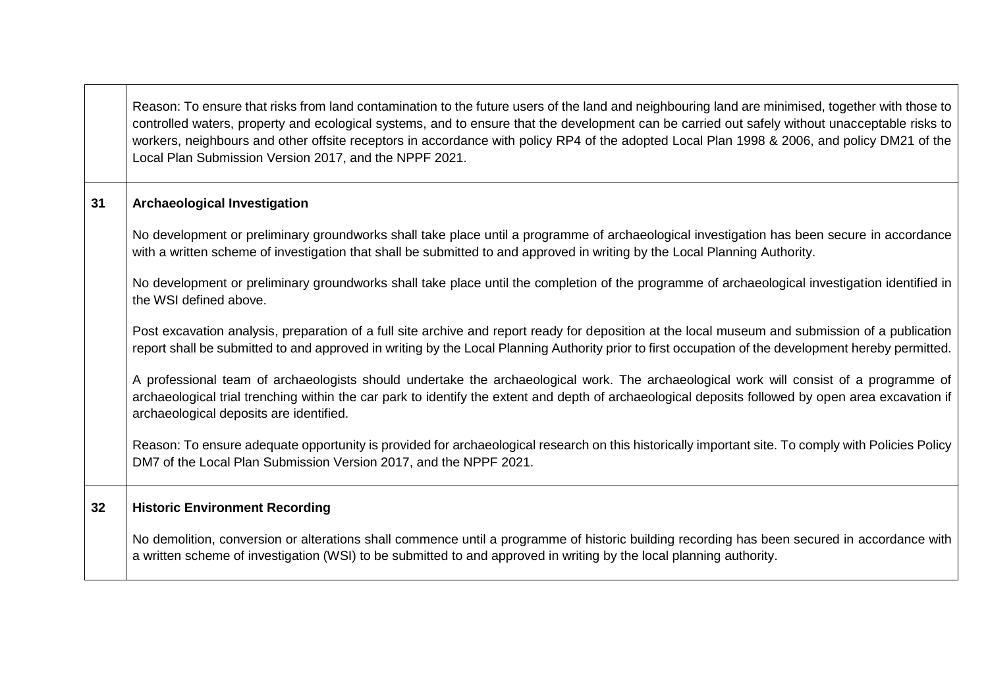|    | Reason: To ensure that risks from land contamination to the future users of the land and neighbouring land are minimised, together with those to<br>controlled waters, property and ecological systems, and to ensure that the development can be carried out safely without unacceptable risks to<br>workers, neighbours and other offsite receptors in accordance with policy RP4 of the adopted Local Plan 1998 & 2006, and policy DM21 of the<br>Local Plan Submission Version 2017, and the NPPF 2021. |
|----|-------------------------------------------------------------------------------------------------------------------------------------------------------------------------------------------------------------------------------------------------------------------------------------------------------------------------------------------------------------------------------------------------------------------------------------------------------------------------------------------------------------|
| 31 | <b>Archaeological Investigation</b>                                                                                                                                                                                                                                                                                                                                                                                                                                                                         |
|    | No development or preliminary groundworks shall take place until a programme of archaeological investigation has been secure in accordance<br>with a written scheme of investigation that shall be submitted to and approved in writing by the Local Planning Authority.                                                                                                                                                                                                                                    |
|    | No development or preliminary groundworks shall take place until the completion of the programme of archaeological investigation identified in<br>the WSI defined above.                                                                                                                                                                                                                                                                                                                                    |
|    | Post excavation analysis, preparation of a full site archive and report ready for deposition at the local museum and submission of a publication<br>report shall be submitted to and approved in writing by the Local Planning Authority prior to first occupation of the development hereby permitted.                                                                                                                                                                                                     |
|    | A professional team of archaeologists should undertake the archaeological work. The archaeological work will consist of a programme of<br>archaeological trial trenching within the car park to identify the extent and depth of archaeological deposits followed by open area excavation if<br>archaeological deposits are identified.                                                                                                                                                                     |
|    | Reason: To ensure adequate opportunity is provided for archaeological research on this historically important site. To comply with Policies Policy<br>DM7 of the Local Plan Submission Version 2017, and the NPPF 2021.                                                                                                                                                                                                                                                                                     |
| 32 | <b>Historic Environment Recording</b>                                                                                                                                                                                                                                                                                                                                                                                                                                                                       |
|    | No demolition, conversion or alterations shall commence until a programme of historic building recording has been secured in accordance with<br>a written scheme of investigation (WSI) to be submitted to and approved in writing by the local planning authority.                                                                                                                                                                                                                                         |

 $\mathcal{L}(\mathcal{A})$ 

 $\blacksquare$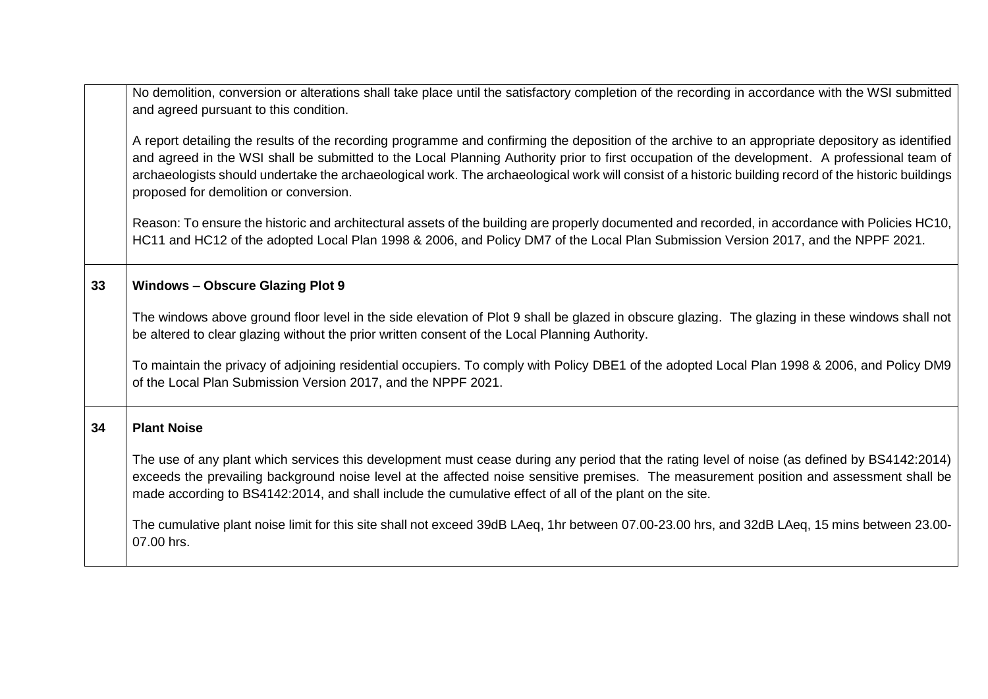|    | No demolition, conversion or alterations shall take place until the satisfactory completion of the recording in accordance with the WSI submitted<br>and agreed pursuant to this condition.                                                                                                                                                                                                                                                                                                           |
|----|-------------------------------------------------------------------------------------------------------------------------------------------------------------------------------------------------------------------------------------------------------------------------------------------------------------------------------------------------------------------------------------------------------------------------------------------------------------------------------------------------------|
|    | A report detailing the results of the recording programme and confirming the deposition of the archive to an appropriate depository as identified<br>and agreed in the WSI shall be submitted to the Local Planning Authority prior to first occupation of the development. A professional team of<br>archaeologists should undertake the archaeological work. The archaeological work will consist of a historic building record of the historic buildings<br>proposed for demolition or conversion. |
|    | Reason: To ensure the historic and architectural assets of the building are properly documented and recorded, in accordance with Policies HC10,<br>HC11 and HC12 of the adopted Local Plan 1998 & 2006, and Policy DM7 of the Local Plan Submission Version 2017, and the NPPF 2021.                                                                                                                                                                                                                  |
| 33 | <b>Windows - Obscure Glazing Plot 9</b>                                                                                                                                                                                                                                                                                                                                                                                                                                                               |
|    | The windows above ground floor level in the side elevation of Plot 9 shall be glazed in obscure glazing. The glazing in these windows shall not<br>be altered to clear glazing without the prior written consent of the Local Planning Authority.                                                                                                                                                                                                                                                     |
|    | To maintain the privacy of adjoining residential occupiers. To comply with Policy DBE1 of the adopted Local Plan 1998 & 2006, and Policy DM9<br>of the Local Plan Submission Version 2017, and the NPPF 2021.                                                                                                                                                                                                                                                                                         |
| 34 | <b>Plant Noise</b>                                                                                                                                                                                                                                                                                                                                                                                                                                                                                    |
|    | The use of any plant which services this development must cease during any period that the rating level of noise (as defined by BS4142:2014)<br>exceeds the prevailing background noise level at the affected noise sensitive premises. The measurement position and assessment shall be<br>made according to BS4142:2014, and shall include the cumulative effect of all of the plant on the site.                                                                                                   |
|    | The cumulative plant noise limit for this site shall not exceed 39dB LAeq, 1hr between 07.00-23.00 hrs, and 32dB LAeq, 15 mins between 23.00-<br>07.00 hrs.                                                                                                                                                                                                                                                                                                                                           |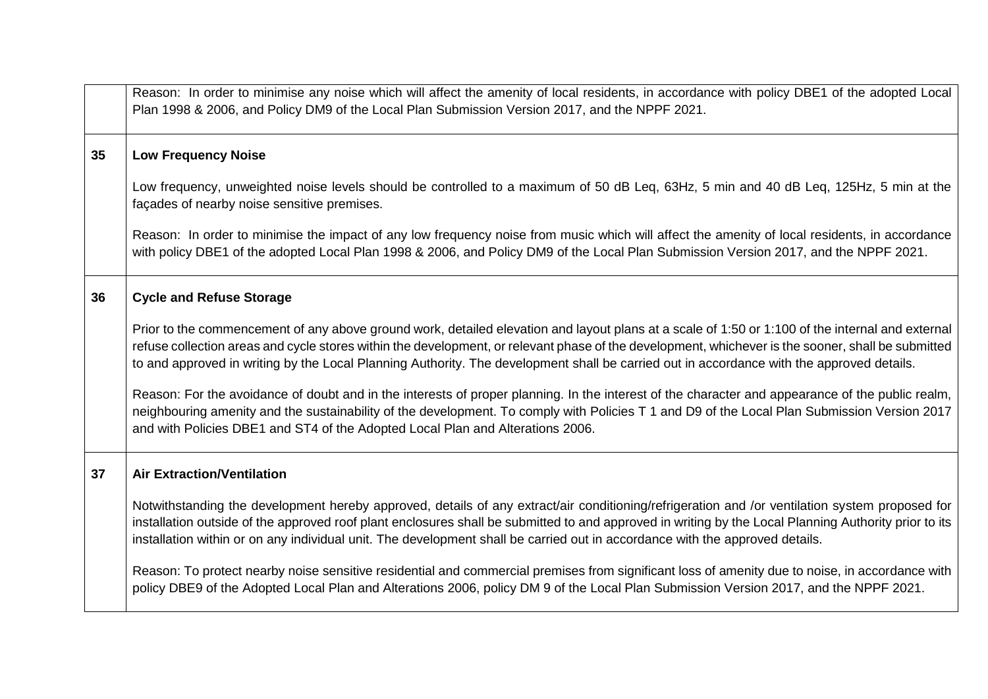|    | Reason: In order to minimise any noise which will affect the amenity of local residents, in accordance with policy DBE1 of the adopted Local<br>Plan 1998 & 2006, and Policy DM9 of the Local Plan Submission Version 2017, and the NPPF 2021.                                                                                                                                                                                                      |
|----|-----------------------------------------------------------------------------------------------------------------------------------------------------------------------------------------------------------------------------------------------------------------------------------------------------------------------------------------------------------------------------------------------------------------------------------------------------|
| 35 | <b>Low Frequency Noise</b>                                                                                                                                                                                                                                                                                                                                                                                                                          |
|    | Low frequency, unweighted noise levels should be controlled to a maximum of 50 dB Leq, 63Hz, 5 min and 40 dB Leq, 125Hz, 5 min at the<br>façades of nearby noise sensitive premises.                                                                                                                                                                                                                                                                |
|    | Reason: In order to minimise the impact of any low frequency noise from music which will affect the amenity of local residents, in accordance<br>with policy DBE1 of the adopted Local Plan 1998 & 2006, and Policy DM9 of the Local Plan Submission Version 2017, and the NPPF 2021.                                                                                                                                                               |
| 36 | <b>Cycle and Refuse Storage</b>                                                                                                                                                                                                                                                                                                                                                                                                                     |
|    | Prior to the commencement of any above ground work, detailed elevation and layout plans at a scale of 1:50 or 1:100 of the internal and external<br>refuse collection areas and cycle stores within the development, or relevant phase of the development, whichever is the sooner, shall be submitted<br>to and approved in writing by the Local Planning Authority. The development shall be carried out in accordance with the approved details. |
|    | Reason: For the avoidance of doubt and in the interests of proper planning. In the interest of the character and appearance of the public realm,<br>neighbouring amenity and the sustainability of the development. To comply with Policies T 1 and D9 of the Local Plan Submission Version 2017<br>and with Policies DBE1 and ST4 of the Adopted Local Plan and Alterations 2006.                                                                  |
| 37 | <b>Air Extraction/Ventilation</b>                                                                                                                                                                                                                                                                                                                                                                                                                   |
|    | Notwithstanding the development hereby approved, details of any extract/air conditioning/refrigeration and /or ventilation system proposed for<br>installation outside of the approved roof plant enclosures shall be submitted to and approved in writing by the Local Planning Authority prior to its<br>installation within or on any individual unit. The development shall be carried out in accordance with the approved details.             |
|    | Reason: To protect nearby noise sensitive residential and commercial premises from significant loss of amenity due to noise, in accordance with<br>policy DBE9 of the Adopted Local Plan and Alterations 2006, policy DM 9 of the Local Plan Submission Version 2017, and the NPPF 2021.                                                                                                                                                            |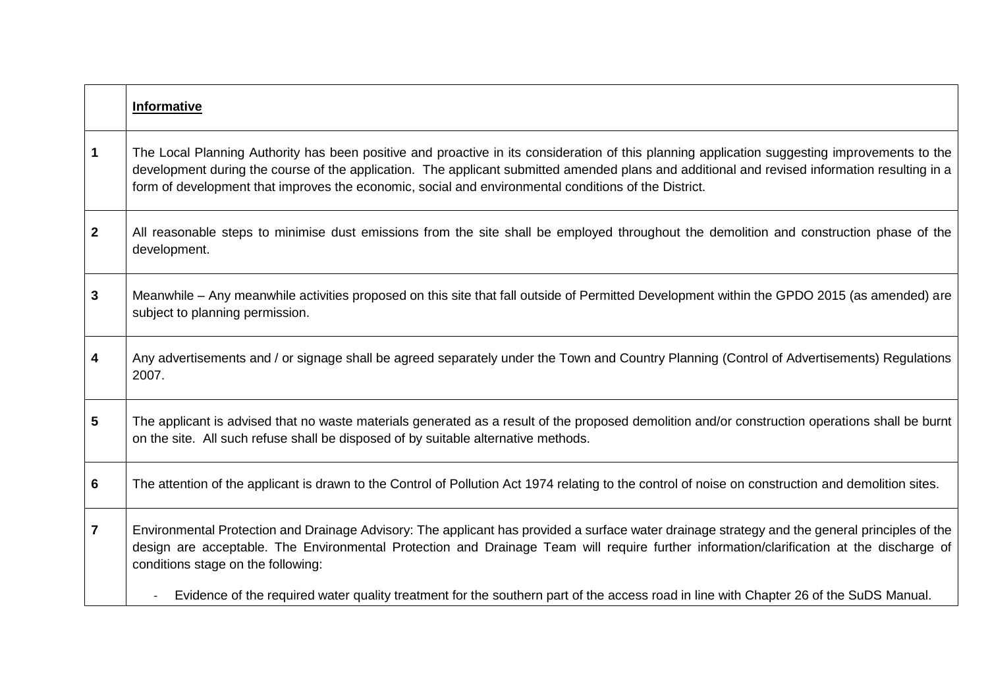|                  | <b>Informative</b>                                                                                                                                                                                                                                                                                                                                                                                     |
|------------------|--------------------------------------------------------------------------------------------------------------------------------------------------------------------------------------------------------------------------------------------------------------------------------------------------------------------------------------------------------------------------------------------------------|
| $\mathbf 1$      | The Local Planning Authority has been positive and proactive in its consideration of this planning application suggesting improvements to the<br>development during the course of the application. The applicant submitted amended plans and additional and revised information resulting in a<br>form of development that improves the economic, social and environmental conditions of the District. |
| $\boldsymbol{2}$ | All reasonable steps to minimise dust emissions from the site shall be employed throughout the demolition and construction phase of the<br>development.                                                                                                                                                                                                                                                |
| 3                | Meanwhile – Any meanwhile activities proposed on this site that fall outside of Permitted Development within the GPDO 2015 (as amended) are<br>subject to planning permission.                                                                                                                                                                                                                         |
| 4                | Any advertisements and / or signage shall be agreed separately under the Town and Country Planning (Control of Advertisements) Regulations<br>2007.                                                                                                                                                                                                                                                    |
| 5                | The applicant is advised that no waste materials generated as a result of the proposed demolition and/or construction operations shall be burnt<br>on the site. All such refuse shall be disposed of by suitable alternative methods.                                                                                                                                                                  |
| 6                | The attention of the applicant is drawn to the Control of Pollution Act 1974 relating to the control of noise on construction and demolition sites.                                                                                                                                                                                                                                                    |
| $\overline{7}$   | Environmental Protection and Drainage Advisory: The applicant has provided a surface water drainage strategy and the general principles of the<br>design are acceptable. The Environmental Protection and Drainage Team will require further information/clarification at the discharge of<br>conditions stage on the following:                                                                       |
|                  | Evidence of the required water quality treatment for the southern part of the access road in line with Chapter 26 of the SuDS Manual.                                                                                                                                                                                                                                                                  |